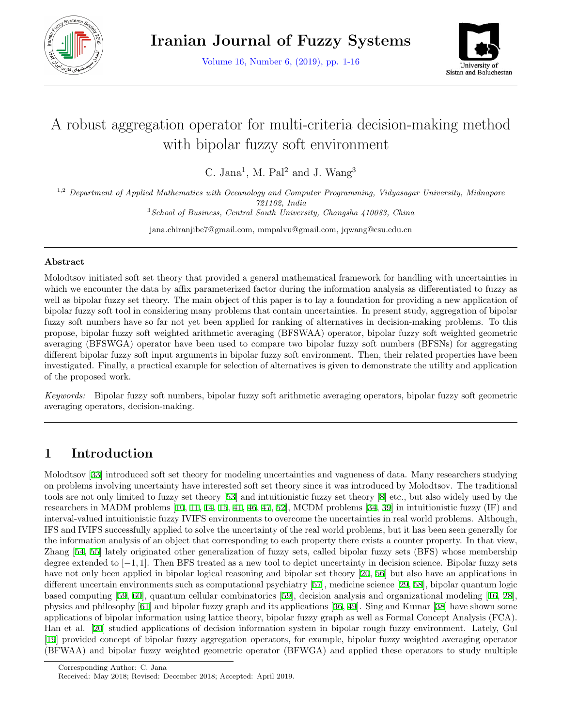

Volume 16, Number 6, (2019), pp. 1-16



# A robust aggregation operator for multi-criteria decision-making method with bipolar fuzzy soft environment

C. Jana<sup>1</sup>, M. Pal<sup>2</sup> and J. Wang<sup>3</sup>

1,2 *Department of Applied Mathematics with Oceanology and Computer Programming, Vidyasagar University, Midnapore 721102, India* <sup>3</sup>*School of Business, Central South University, Changsha 410083, China*

jana.chiranjibe7@gmail.com, mmpalvu@gmail.com, jqwang@csu.edu.cn

#### **Abstract**

Molodtsov initiated soft set theory that provided a general mathematical framework for handling with uncertainties in which we encounter the data by affix parameterized factor during the information analysis as differentiated to fuzzy as well as bipolar fuzzy set theory. The main object of this paper is to lay a foundation for providing a new application of bipolar fuzzy soft tool in considering many problems that contain uncertainties. In present study, aggregation of bipolar fuzzy soft numbers have so far not yet been applied for ranking of alternatives in decision-making problems. To this propose, bipolar fuzzy soft weighted arithmetic averaging (BFSWAA) operator, bipolar fuzzy soft weighted geometric averaging (BFSWGA) operator have been used to compare two bipolar fuzzy soft numbers (BFSNs) for aggregating different bipolar fuzzy soft input arguments in bipolar fuzzy soft environment. Then, their related properties have been investigated. Finally, a practical example for selection of alternatives is given to demonstrate the utility and application of the proposed work.

*Keywords:* Bipolar fuzzy soft numbers, bipolar fuzzy soft arithmetic averaging operators, bipolar fuzzy soft geometric averaging operators, decision-making.

# **1 Introduction**

Molodtsov [\[33](#page-13-0)] introduced soft set theory for modeling uncertainties and vagueness of data. Many researchers studying on problems involving uncertainty have interested soft set theory since it was introduced by Molodtsov. The traditional tools are not only limited to fuzzy set theory [[53\]](#page-14-0) and intuitionistic fuzzy set theory [[8\]](#page-12-0) etc., but also widely used by the researchers in MADM problems [\[10](#page-12-1), [11,](#page-12-2) [14,](#page-13-1) [15](#page-13-2), [41,](#page-14-1) [46,](#page-14-2) [47](#page-14-3), [52\]](#page-14-4), MCDM problems [[34,](#page-13-3) [39](#page-14-5)] in intuitionistic fuzzy (IF) and interval-valued intuitionistic fuzzy IVIFS environments to overcome the uncertainties in real world problems. Although, IFS and IVIFS successfully applied to solve the uncertainty of the real world problems, but it has been seen generally for the information analysis of an object that corresponding to each property there exists a counter property. In that view, Zhang [[54,](#page-14-6) [55](#page-14-7)] lately originated other generalization of fuzzy sets, called bipolar fuzzy sets (BFS) whose membership degree extended to [*−*1*,* 1]. Then BFS treated as a new tool to depict uncertainty in decision science. Bipolar fuzzy sets have not only been applied in bipolar logical reasoning and bipolar set theory [[20](#page-13-4), [56](#page-14-8)] but also have an applications in different uncertain environments such as computational psychiatry [[57\]](#page-15-0), medicine science [\[29](#page-13-5), [58\]](#page-15-1), bipolar quantum logic based computing [\[59](#page-15-2), [60](#page-15-3)], quantum cellular combinatorics [\[59](#page-15-2)], decision analysis and organizational modeling [[16](#page-13-6), [28](#page-13-7)], physics and philosophy [[61\]](#page-15-4) and bipolar fuzzy graph and its applications [\[36](#page-14-9), [49\]](#page-14-10). Sing and Kumar [[38\]](#page-14-11) have shown some applications of bipolar information using lattice theory, bipolar fuzzy graph as well as Formal Concept Analysis (FCA). Han et al. [[20\]](#page-13-4) studied applications of decision information system in bipolar rough fuzzy environment. Lately, Gul [[19\]](#page-13-8) provided concept of bipolar fuzzy aggregation operators, for example, bipolar fuzzy weighted averaging operator (BFWAA) and bipolar fuzzy weighted geometric operator (BFWGA) and applied these operators to study multiple

Corresponding Author: C. Jana

Received: May 2018; Revised: December 2018; Accepted: April 2019.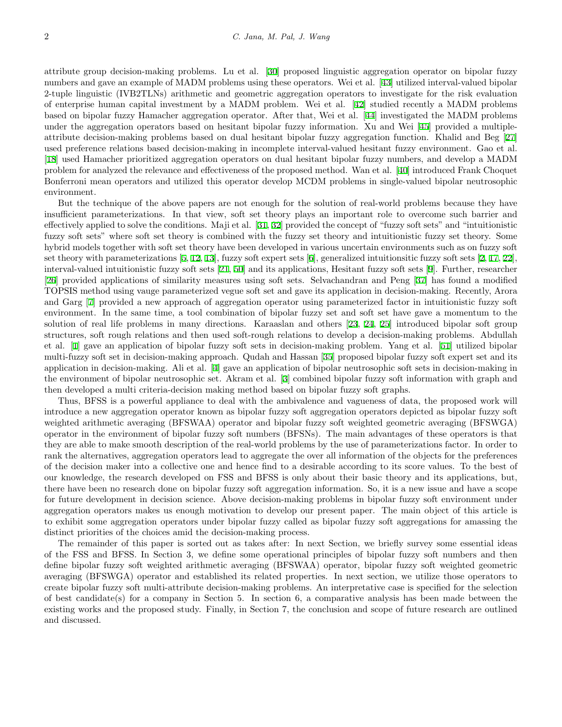attribute group decision-making problems. Lu et al. [[30\]](#page-13-9) proposed linguistic aggregation operator on bipolar fuzzy numbers and gave an example of MADM problems using these operators. Wei et al. [[43\]](#page-14-12) utilized interval-valued bipolar 2-tuple linguistic (IVB2TLNs) arithmetic and geometric aggregation operators to investigate for the risk evaluation of enterprise human capital investment by a MADM problem. Wei et al. [\[42](#page-14-13)] studied recently a MADM problems based on bipolar fuzzy Hamacher aggregation operator. After that, Wei et al. [\[44](#page-14-14)] investigated the MADM problems under the aggregation operators based on hesitant bipolar fuzzy information. Xu and Wei [\[45](#page-14-15)] provided a multipleattribute decision-making problems based on dual hesitant bipolar fuzzy aggregation function. Khalid and Beg [[27](#page-13-10)] used preference relations based decision-making in incomplete interval-valued hesitant fuzzy environment. Gao et al. [[18\]](#page-13-11) used Hamacher prioritized aggregation operators on dual hesitant bipolar fuzzy numbers, and develop a MADM problem for analyzed the relevance and effectiveness of the proposed method. Wan et al. [[40](#page-14-16)] introduced Frank Choquet Bonferroni mean operators and utilized this operator develop MCDM problems in single-valued bipolar neutrosophic environment.

But the technique of the above papers are not enough for the solution of real-world problems because they have insufficient parameterizations. In that view, soft set theory plays an important role to overcome such barrier and effectively applied to solve the conditions. Maji et al. [[31,](#page-13-12) [32\]](#page-13-13) provided the concept of "fuzzy soft sets" and "intuitionistic fuzzy soft sets" where soft set theory is combined with the fuzzy set theory and intuitionistic fuzzy set theory. Some hybrid models together with soft set theory have been developed in various uncertain environments such as on fuzzy soft set theory with parameterizations [[5](#page-12-3), [12](#page-12-4), [13](#page-13-14)], fuzzy soft expert sets [[6\]](#page-12-5), generalized intuitionsitic fuzzy soft sets [[2,](#page-12-6) [17](#page-13-15), [22](#page-13-16)], interval-valued intuitionistic fuzzy soft sets [\[21](#page-13-17), [50\]](#page-14-17) and its applications, Hesitant fuzzy soft sets [[9\]](#page-12-7). Further, researcher [[26\]](#page-13-18) provided applications of similarity measures using soft sets. Selvachandran and Peng [\[37](#page-14-18)] has found a modified TOPSIS method using vauge parameterized vegue soft set and gave its application in decision-making. Recently, Arora and Garg [\[7](#page-12-8)] provided a new approach of aggregation operator using parameterized factor in intuitionistic fuzzy soft environment. In the same time, a tool combination of bipolar fuzzy set and soft set have gave a momentum to the solution of real life problems in many directions. Karaaslan and others [[23,](#page-13-19) [24](#page-13-20), [25\]](#page-13-21) introduced bipolar soft group structures, soft rough relations and then used soft-rough relations to develop a decision-making problems. Abdullah et al. [[1\]](#page-12-9) gave an application of bipolar fuzzy soft sets in decision-making problem. Yang et al. [[51](#page-14-19)] utilized bipolar multi-fuzzy soft set in decision-making approach. Qudah and Hassan [\[35](#page-14-20)] proposed bipolar fuzzy soft expert set and its application in decision-making. Ali et al. [\[4](#page-12-10)] gave an application of bipolar neutrosophic soft sets in decision-making in the environment of bipolar neutrosophic set. Akram et al. [\[3](#page-12-11)] combined bipolar fuzzy soft information with graph and then developed a multi criteria-decision making method based on bipolar fuzzy soft graphs.

Thus, BFSS is a powerful appliance to deal with the ambivalence and vagueness of data, the proposed work will introduce a new aggregation operator known as bipolar fuzzy soft aggregation operators depicted as bipolar fuzzy soft weighted arithmetic averaging (BFSWAA) operator and bipolar fuzzy soft weighted geometric averaging (BFSWGA) operator in the environment of bipolar fuzzy soft numbers (BFSNs). The main advantages of these operators is that they are able to make smooth description of the real-world problems by the use of parameterizations factor. In order to rank the alternatives, aggregation operators lead to aggregate the over all information of the objects for the preferences of the decision maker into a collective one and hence find to a desirable according to its score values. To the best of our knowledge, the research developed on FSS and BFSS is only about their basic theory and its applications, but, there have been no research done on bipolar fuzzy soft aggregation information. So, it is a new issue and have a scope for future development in decision science. Above decision-making problems in bipolar fuzzy soft environment under aggregation operators makes us enough motivation to develop our present paper. The main object of this article is to exhibit some aggregation operators under bipolar fuzzy called as bipolar fuzzy soft aggregations for amassing the distinct priorities of the choices amid the decision-making process.

The remainder of this paper is sorted out as takes after: In next Section, we briefly survey some essential ideas of the FSS and BFSS. In Section 3, we define some operational principles of bipolar fuzzy soft numbers and then define bipolar fuzzy soft weighted arithmetic averaging (BFSWAA) operator, bipolar fuzzy soft weighted geometric averaging (BFSWGA) operator and established its related properties. In next section, we utilize those operators to create bipolar fuzzy soft multi-attribute decision-making problems. An interpretative case is specified for the selection of best candidate(s) for a company in Section 5. In section 6, a comparative analysis has been made between the existing works and the proposed study. Finally, in Section 7, the conclusion and scope of future research are outlined and discussed.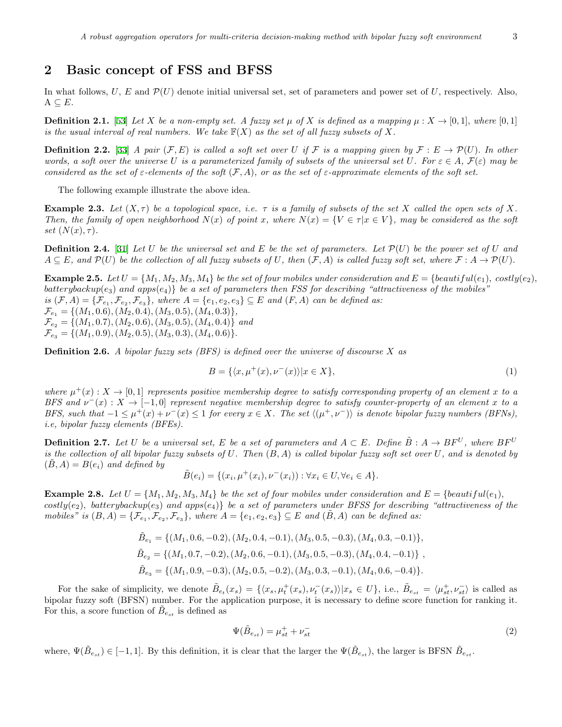## **2 Basic concept of FSS and BFSS**

In what follows, *U*, *E* and  $\mathcal{P}(U)$  denote initial universal set, set of parameters and power set of *U*, respectively. Also,  $A \subseteq E$ .

**Definition 2.1.** [[53\]](#page-14-0) *Let X be a non-empty set. A fuzzy set*  $\mu$  *of <i>X is defined as a mapping*  $\mu: X \to [0,1]$ *, where* [0,1] *is the usual interval of real numbers.* We take  $\mathbb{F}(X)$  as the set of all fuzzy subsets of X.

**Definition 2.2.** [\[33](#page-13-0)] *A pair*  $(\mathcal{F}, E)$  *is called a soft set over U if*  $\mathcal{F}$  *is a mapping given by*  $\mathcal{F} : E \to \mathcal{P}(U)$ *. In other words, a soft over the universe U is a parameterized family of subsets of the universal set U. For*  $\varepsilon \in A$ ,  $\mathcal{F}(\varepsilon)$  *may be considered as the set of*  $\varepsilon$ *-elements of the soft*  $(\mathcal{F}, A)$ *, or as the set of*  $\varepsilon$ *-approximate elements of the soft set.* 

The following example illustrate the above idea.

**Example 2.3.** Let  $(X, \tau)$  be a topological space, i.e.  $\tau$  is a family of subsets of the set X called the open sets of X. Then, the family of open neighborhood  $N(x)$  of point x, where  $N(x) = \{V \in \tau | x \in V\}$ , may be considered as the soft *set*  $(N(x), \tau)$ *.* 

**Definition 2.4.** [[31\]](#page-13-12) Let U be the universal set and E be the set of parameters. Let  $\mathcal{P}(U)$  be the power set of U and  $A\subseteq E$ , and  $\mathcal{P}(U)$  be the collection of all fuzzy subsets of U, then  $(\mathcal{F}, A)$  is called fuzzy soft set, where  $\mathcal{F}: A \to \mathcal{P}(U)$ .

**Example 2.5.** Let  $U = \{M_1, M_2, M_3, M_4\}$  be the set of four mobiles under consideration and  $E = \{beautitull(e_1), costly(e_2),$  $batterybackup(e_3)$  and apps $(e_4)$ *} be a set of parameters then FSS for describing "attractiveness of the mobiles"* is  $(\mathcal{F}, A) = {\mathcal{F}_{e_1}, \mathcal{F}_{e_2}, \mathcal{F}_{e_3}}$ , where  $A = {e_1, e_2, e_3} \subseteq E$  and  $(F, A)$  can be defined as:  $\mathcal{F}_{e_1} = \{ (M_1, 0.6), (M_2, 0.4), (M_3, 0.5), (M_4, 0.3) \},$  $\mathcal{F}_{e_2} = \{(M_1, 0.7), (M_2, 0.6), (M_3, 0.5), (M_4, 0.4)\}$  *and*  $\mathcal{F}_{e_3} = \{(M_1, 0.9), (M_2, 0.5), (M_3, 0.3), (M_4, 0.6)\}.$ 

**Definition 2.6.** *A bipolar fuzzy sets (BFS) is defined over the universe of discourse X as*

$$
B = \{ \langle x, \mu^+(x), \nu^-(x) \rangle | x \in X \},\tag{1}
$$

*where*  $\mu^+(x): X \to [0,1]$  *represents positive membership degree to satisfy corresponding property of an element x to a BFS* and  $\nu^-(x): X \to [-1,0]$  represent negative membership degree to satisfy counter-property of an element x to a BFS, such that  $-1 \leq \mu^+(x) + \nu^-(x) \leq 1$  for every  $x \in X$ . The set  $\langle (\mu^+, \nu^-) \rangle$  is denote bipolar fuzzy numbers (BFNs), *i.e, bipolar fuzzy elements (BFEs).*

**Definition 2.7.** Let U be a universal set, E be a set of parameters and  $A \subset E$ . Define  $\tilde{B}: A \to BF^U$ , where  $BF^U$ *is the collection of all bipolar fuzzy subsets of U. Then* (*B, A*) *is called bipolar fuzzy soft set over U, and is denoted by*  $(B, A) = B(e_i)$  and defined by

$$
\tilde{B}(e_i) = \{ (x_i, \mu^+(x_i), \nu^-(x_i)) : \forall x_i \in U, \forall e_i \in A \}.
$$

**Example 2.8.** Let  $U = \{M_1, M_2, M_3, M_4\}$  be the set of four mobiles under consideration and  $E = \{beautiful(e_1),$  $costly(e_2)$ , batterybackup( $e_3$ ) and apps( $e_4$ ) be a set of parameters under BFSS for describing "attractiveness of the mobiles" is  $(B, A) = \{ \mathcal{F}_{e_1}, \mathcal{F}_{e_2}, \mathcal{F}_{e_3} \}$ , where  $A = \{e_1, e_2, e_3\} \subseteq E$  and  $(\tilde{B}, A)$  can be defined as:

$$
\tilde{B}_{e_1} = \{ (M_1, 0.6, -0.2), (M_2, 0.4, -0.1), (M_3, 0.5, -0.3), (M_4, 0.3, -0.1) \},
$$
\n
$$
\tilde{B}_{e_2} = \{ (M_1, 0.7, -0.2), (M_2, 0.6, -0.1), (M_3, 0.5, -0.3), (M_4, 0.4, -0.1) \},
$$
\n
$$
\tilde{B}_{e_3} = \{ (M_1, 0.9, -0.3), (M_2, 0.5, -0.2), (M_3, 0.3, -0.1), (M_4, 0.6, -0.4) \}.
$$

For the sake of simplicity, we denote  $\tilde{B}_{e_t}(x_s) = \{ \langle x_s, \mu_t^+(x_s), \nu_t^-(x_s) \rangle | x_s \in U \}$ , i.e.,  $\tilde{B}_{e_{st}} = \langle \mu_{st}^+, \nu_{st}^- \rangle$  is called as bipolar fuzzy soft (BFSN) number. For the application purpose, it is necessary to define score function for ranking it. For this, a score function of  $\tilde{B}_{e_{st}}$  is defined as

$$
\Psi(\tilde{B}_{e_{st}}) = \mu_{st}^+ + \nu_{st}^- \tag{2}
$$

where,  $\Psi(\tilde{B}_{e_{st}}) \in [-1,1]$ . By this definition, it is clear that the larger the  $\Psi(\tilde{B}_{e_{st}})$ , the larger is BFSN  $\tilde{B}_{e_{st}}$ .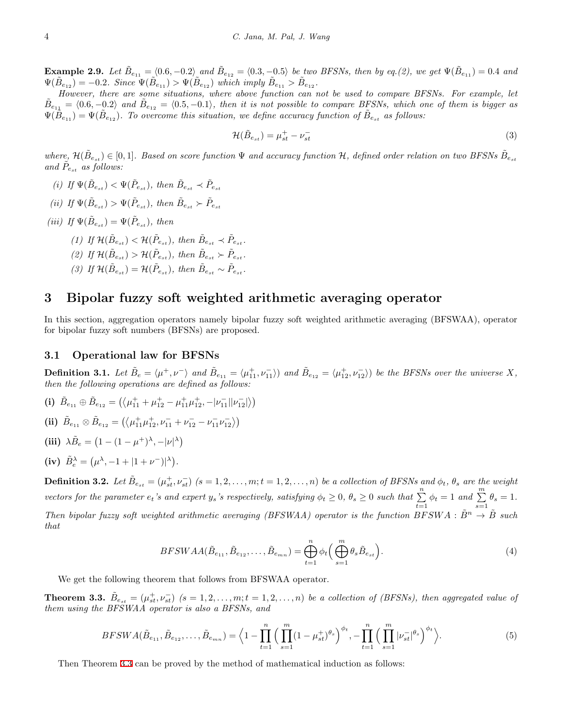**Example 2.9.** Let  $\tilde{B}_{e_{11}} = (0.6, -0.2)$  and  $\tilde{B}_{e_{12}} = (0.3, -0.5)$  be two BFSNs, then by eq.(2), we get  $\Psi(\tilde{B}_{e_{11}}) = 0.4$  and  $\Psi(\tilde{B}_{e_{12}}) = -0.2$ *. Since*  $\Psi(\tilde{B}_{e_{11}}) > \Psi(\tilde{B}_{e_{12}})$  which imply  $\tilde{B}_{e_{11}} > \tilde{B}_{e_{12}}$ *.* 

*However, there are some situations, where above function can not be used to compare BFSNs. For example, let*  $\tilde{B}_{e_{11}} = \langle 0.6, -0.2 \rangle$  and  $\tilde{B}_{e_{12}} = \langle 0.5, -0.1 \rangle$ , then it is not possible to compare BFSNs, which one of them is bigger as  $\Psi(\tilde{B}_{e_{11}}) = \Psi(\tilde{B}_{e_{12}})$ . To overcome this situation, we define accuracy function of  $\tilde{B}_{e_{s t}}$  as follows:

$$
\mathcal{H}(\tilde{B}_{e_{st}}) = \mu_{st}^+ - \nu_{st}^- \tag{3}
$$

 $where, \mathcal{H}(\tilde{B}_{e_{st}}) \in [0,1].$  Based on score function  $\Psi$  and accuracy function  $\mathcal{H}$ , defined order relation on two BFSNs  $\tilde{B}_{e_{st}}$ and  $\tilde{P}_{e_{st}}$  *as follows:* 

- *(i) If*  $\Psi(\tilde{B}_{e_{st}}) < \Psi(\tilde{P}_{e_{st}})$ , then  $\tilde{B}_{e_{st}} \prec \tilde{P}_{e_{st}}$
- $(iii)$  *If*  $\Psi(\tilde{B}_{e_{st}}) > \Psi(\tilde{P}_{e_{st}})$ , then  $\tilde{B}_{e_{st}} \succ \tilde{P}_{e_{st}}$
- $(iii)$  *If*  $\Psi(\tilde{B}_{e_{st}}) = \Psi(\tilde{P}_{e_{st}})$ *, then* 
	- $(1)$  *If*  $\mathcal{H}(\tilde{B}_{e_{st}}) < \mathcal{H}(\tilde{P}_{e_{st}})$ , then  $\tilde{B}_{e_{st}} \prec \tilde{P}_{e_{st}}$ .
	- $(2)$  *If*  $\mathcal{H}(\tilde{B}_{e_{st}}) > \mathcal{H}(\tilde{P}_{e_{st}})$ , then  $\tilde{B}_{e_{st}} > \tilde{P}_{e_{st}}$ .
	- $(3)$  *If*  $\mathcal{H}(\tilde{B}_{e_{st}}) = \mathcal{H}(\tilde{P}_{e_{st}})$ , then  $\tilde{B}_{e_{st}} \sim \tilde{P}_{e_{st}}$ .

## **3 Bipolar fuzzy soft weighted arithmetic averaging operator**

In this section, aggregation operators namely bipolar fuzzy soft weighted arithmetic averaging (BFSWAA), operator for bipolar fuzzy soft numbers (BFSNs) are proposed.

#### **3.1 Operational law for BFSNs**

<span id="page-3-1"></span>**Definition 3.1.** Let  $\tilde{B}_e = \langle \mu^+, \nu^- \rangle$  and  $\tilde{B}_{e_{11}} = \langle \mu_{11}^+, \nu_{11}^- \rangle$  and  $\tilde{B}_{e_{12}} = \langle \mu_{12}^+, \nu_{12}^- \rangle$  be the BFSNs over the universe X, *then the following operations are defined as follows:*

**(i)**  $\tilde{B}_{e_{11}} \oplus \tilde{B}_{e_{12}} = (\langle \mu_{11}^+ + \mu_{12}^+ - \mu_{11}^+ \mu_{12}^+, -|\nu_{11}^-| |\nu_{12}^-| \rangle)$ **(ii)**  $\tilde{B}_{e_{11}} \otimes \tilde{B}_{e_{12}} = \left( \left\langle \mu_{11}^+ \mu_{12}^+, \nu_{11}^- + \nu_{12}^- - \nu_{11}^- \nu_{12}^- \right\rangle \right)$ (iii)  $\lambda \tilde{B}_e = (1 - (1 - \mu^+)^{\lambda}, -|\nu|^{\lambda})$ (iv)  $\tilde{B}_e^{\lambda} = (\mu^{\lambda}, -1 + |1 + \nu^{-})^{\lambda}.$ 

**Definition 3.2.** Let  $\tilde{B}_{e_{st}} = (\mu_{st}^+, \nu_{st}^-)$   $(s = 1, 2, \ldots, m; t = 1, 2, \ldots, n)$  be a collection of BFSNs and  $\phi_t$ ,  $\theta_s$  are the weight vectors for the parameter  $e_t$ 's and expert  $y_s$ 's respectively, satisfying  $\phi_t \geq 0$ ,  $\theta_s \geq 0$  such that  $\sum_{t=1}^{n} \phi_t = 1$  and  $\sum_{s=1}^{m} \theta_s = 1$ . *Then bipolar fuzzy soft weighted arithmetic averaging (BFSWAA) operator is the function*  $BFSWA : \tilde{B}^n \to \tilde{B}$  *such that*

$$
BFSWAA(\tilde{B}_{e_{11}},\tilde{B}_{e_{12}},\ldots,\tilde{B}_{e_{m n}}) = \bigoplus_{t=1}^{n} \phi_t \Big(\bigoplus_{s=1}^{m} \theta_s \tilde{B}_{e_{st}}\Big). \tag{4}
$$

We get the following theorem that follows from BFSWAA operator.

<span id="page-3-0"></span>**Theorem 3.3.**  $\tilde{B}_{e_{st}} = (\mu_{st}^+, \nu_{st}^-)$   $(s = 1, 2, ..., m; t = 1, 2, ..., n)$  be a collection of (BFSNs), then aggregated value of *them using the BFSWAA operator is also a BFSNs, and*

$$
BFSWA(\tilde{B}_{e_{11}}, \tilde{B}_{e_{12}}, \dots, \tilde{B}_{e_{mn}}) = \left\langle 1 - \prod_{t=1}^{n} \Big( \prod_{s=1}^{m} (1 - \mu_{st}^{+})^{\theta_{s}} \Big)^{\phi_{t}}, - \prod_{t=1}^{n} \Big( \prod_{s=1}^{m} |\nu_{st}^{-}|^{\theta_{s}} \Big)^{\phi_{t}} \right\rangle. \tag{5}
$$

Then Theorem [3.3](#page-3-0) can be proved by the method of mathematical induction as follows: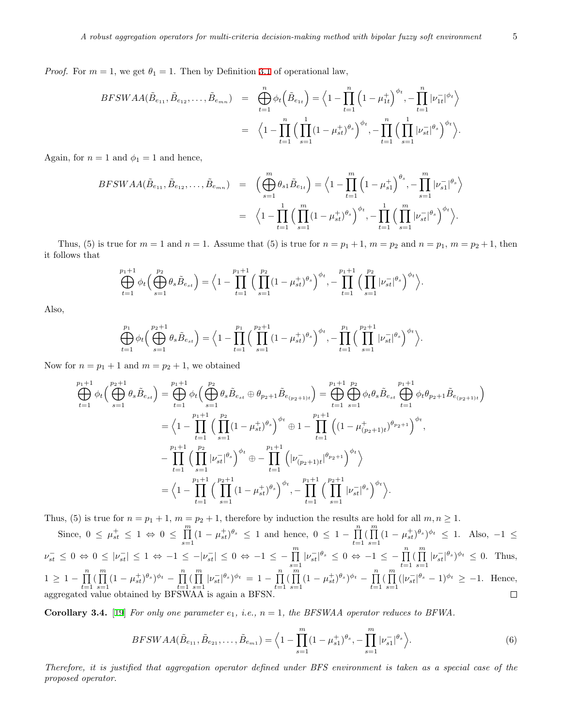*Proof.* For  $m = 1$ , we get  $\theta_1 = 1$ . Then by Definition [3.1](#page-3-1) of operational law,

$$
BFSWAA(\tilde{B}_{e_{11}}, \tilde{B}_{e_{12}}, \dots, \tilde{B}_{e_{mn}}) = \bigoplus_{t=1}^{n} \phi_t \left( \tilde{B}_{e_{1t}} \right) = \left\langle 1 - \prod_{t=1}^{n} \left( 1 - \mu_{1t}^+ \right)^{\phi_t}, - \prod_{t=1}^{n} |\nu_{1t}^-|^{\phi_t} \right\rangle
$$

$$
= \left\langle 1 - \prod_{t=1}^{n} \left( \prod_{s=1}^{n} (1 - \mu_{st}^+)^{\theta_s} \right)^{\phi_t}, - \prod_{t=1}^{n} \left( \prod_{s=1}^{n} |\nu_{st}^-|^{\theta_s} \right)^{\phi_t} \right\rangle.
$$

Again, for  $n = 1$  and  $\phi_1 = 1$  and hence,

$$
BFSWAA(\tilde{B}_{e_{11}}, \tilde{B}_{e_{12}}, \dots, \tilde{B}_{e_{mn}}) = \left(\bigoplus_{s=1}^{m} \theta_{s1} \tilde{B}_{e_{1t}}\right) = \left\langle 1 - \prod_{t=1}^{m} \left(1 - \mu_{s1}^{+}\right)^{\theta_{s}}, -\prod_{s=1}^{m} |\nu_{s1}^{-}|^{\theta_{s}}\right\rangle
$$

$$
= \left\langle 1 - \prod_{t=1}^{n} \left(\prod_{s=1}^{m} (1 - \mu_{st}^{+})^{\theta_{s}}\right)^{\phi_{t}}, -\prod_{t=1}^{n} \left(\prod_{s=1}^{m} |\nu_{st}^{-}|^{\theta_{s}}\right)^{\phi_{t}}\right\rangle.
$$

Thus, (5) is true for  $m = 1$  and  $n = 1$ . Assume that (5) is true for  $n = p_1 + 1$ ,  $m = p_2$  and  $n = p_1$ ,  $m = p_2 + 1$ , then it follows that

$$
\bigoplus_{t=1}^{p_1+1} \phi_t \Big( \bigoplus_{s=1}^{p_2} \theta_s \tilde{B}_{e_{st}} \Big) = \Big\langle 1 - \prod_{t=1}^{p_1+1} \Big( \prod_{s=1}^{p_2} (1 - \mu_{st}^+) ^{\theta_s} \Big)^{\phi_t} , - \prod_{t=1}^{p_1+1} \Big( \prod_{s=1}^{p_2} |\nu_{st}^-| ^{\theta_s} \Big)^{\phi_t} \Big\rangle.
$$

Also,

$$
\bigoplus_{t=1}^{p_1} \phi_t \left( \bigoplus_{s=1}^{p_2+1} \theta_s \tilde{B}_{e_{st}} \right) = \left\langle 1 - \prod_{t=1}^{p_1} \left( \prod_{s=1}^{p_2+1} (1 - \mu_{st}^+) ^{\theta_s} \right)^{\phi_t}, - \prod_{t=1}^{p_1} \left( \prod_{s=1}^{p_2+1} |\nu_{st}^-|^{\theta_s} \right)^{\phi_t} \right\rangle.
$$

Now for  $n = p_1 + 1$  and  $m = p_2 + 1$ , we obtained

$$
\bigoplus_{t=1}^{p_1+1} \phi_t \Big( \bigoplus_{s=1}^{p_2+1} \theta_s \tilde{B}_{e_{st}} \Big) = \bigoplus_{t=1}^{p_1+1} \phi_t \Big( \bigoplus_{s=1}^{p_2} \theta_s \tilde{B}_{e_{st}} \oplus \theta_{p_2+1} \tilde{B}_{e_{(p_2+1)t}} \Big) = \bigoplus_{t=1}^{p_1+1} \bigoplus_{s=1}^{p_2} \phi_t \theta_s \tilde{B}_{e_{st}} \bigoplus_{t=1}^{p_1+1} \phi_t \theta_{p_2+1} \tilde{B}_{e_{(p_2+1)t}} \Big)
$$
\n
$$
= \Big\langle 1 - \prod_{t=1}^{p_1+1} \Big( \prod_{s=1}^{p_2} (1 - \mu_{st}^+)^{\theta_s} \Big)^{\phi_t} \oplus 1 - \prod_{t=1}^{p_1+1} \Big( (1 - \mu_{(p_2+1)t}^+)^{\theta_{p_2+1}} \Big)^{\phi_t},
$$
\n
$$
- \prod_{t=1}^{p_1+1} \Big( \prod_{s=1}^{p_2} |\nu_{st}^-|^{\theta_s} \Big)^{\phi_t} \oplus - \prod_{t=1}^{p_1+1} \Big( |\nu_{(p_2+1)t}^-|^{\theta_{p_2+1}} \Big)^{\phi_t} \Big\rangle
$$
\n
$$
= \Big\langle 1 - \prod_{t=1}^{p_1+1} \Big( \prod_{s=1}^{p_2+1} (1 - \mu_{st}^+)^{\theta_s} \Big)^{\phi_t}, - \prod_{t=1}^{p_1+1} \Big( \prod_{s=1}^{p_2+1} |\nu_{st}^-|^{\theta_s} \Big)^{\phi_t} \Big\rangle.
$$

Thus, (5) is true for  $n = p_1 + 1$ ,  $m = p_2 + 1$ , therefore by induction the results are hold for all  $m, n \ge 1$ .

Since,  $0 \leq \mu_{st}^+ \leq 1 \Leftrightarrow 0 \leq \prod_{k=1}^{m}$  $\prod_{s=1}^{m} (1 - \mu_{st}^+)^{\theta_s} \le 1$  and hence,  $0 \le 1 - \prod_{t=1}^{n}$  $\prod_{t=1}^n \left( \prod_{s=i}^m \right)$  $\prod_{s=1}^{n} (1 - \mu_{st}^{+})^{\theta_{s}})^{\phi_{t}} \leq 1$ . Also,  $-1 \leq$  $\nu_{st}^-\,\leq\,0\,\Leftrightarrow\,0\,\leq\,|\nu_{st}^-|\,\leq\,1\,\Leftrightarrow\,-1\,\leq\,-|\nu_{st}^-|\,\leq\,0\,\Leftrightarrow\,-1\,\leq\,-\,\prod_{s=1}^m|\nu_{st}^-|^{\theta_s}\,\leq\,0\,\Leftrightarrow\,-1\,\leq\,-\,\prod_{t=1}^n\,(\prod_{s=1}^m|\nu_{st}^-|^{\theta_s})\,.$  $\prod_{s=1} |\nu_{st}^{-}|\theta_s|^{i} \leq 0$ . Thus,  $1 \geq 1 - \prod_{i=1}^{n}$  $\prod_{t=1}^n \left( \prod_{s=i}^m \right)$  $\prod_{s=1}^{m} (1 - \mu_{st}^+)^{\theta_s})^{\phi_t} - \prod_{t=1}^{n}$  $\prod_{t=1}^n \left( \prod_{s=1}^m \right)$  $\prod_{s=1}^{m} |\nu_{st}^{-}|\theta_s|^{i} = 1 - \prod_{t=1}^{n}$  $\prod_{t=1}^n \left( \prod_{s=1}^m \right)$  $\prod_{s=1}^{m} (1 - \mu_{st}^+)^{\theta_s}$  $\phi_t - \prod_{t=1}^{n}$  $\prod_{t=1}^n \left( \prod_{s=1}^m \right)$  $\prod_{s=1} (|\nu_{st}^-|^{\theta_s} - 1)^{\phi_t} \geq -1$ . Hence, aggregated value obtained by BFSWAA is again a BFSN.

**Corollary 3.4.** [[19\]](#page-13-8) *For only one parameter*  $e_1$ *, i.e.,*  $n = 1$ *, the BFSWAA operator reduces to BFWA.* 

$$
BFSWAA(\tilde{B}_{e_{11}},\tilde{B}_{e_{21}},\ldots,\tilde{B}_{e_{m1}}) = \left\langle 1 - \prod_{s=1}^{m} (1 - \mu_{s1}^+)^{\theta_s}, - \prod_{s=1}^{m} |\nu_{s1}^-|^{\theta_s} \right\rangle.
$$
 (6)

*Therefore, it is justified that aggregation operator defined under BFS environment is taken as a special case of the proposed operator.*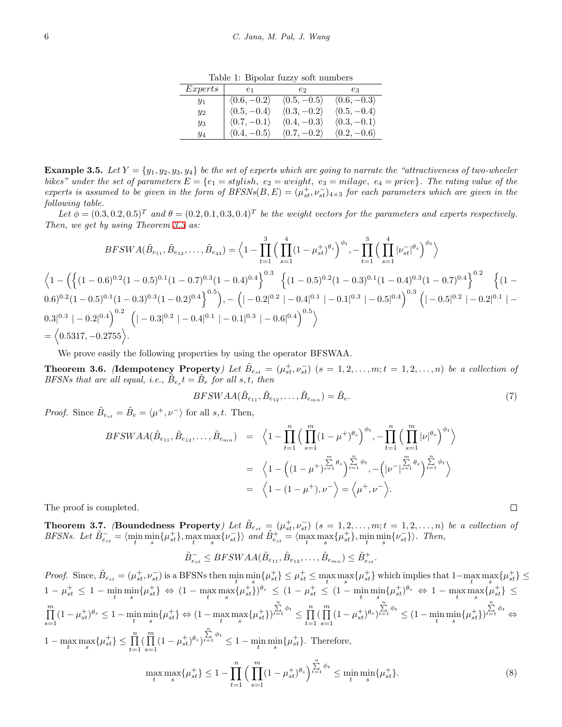Table 1: Bipolar fuzzy soft numbers

| Express | $e_1$                       | e2                          | eз                          |
|---------|-----------------------------|-----------------------------|-----------------------------|
| $y_1$   | $\langle 0.6, -0.2 \rangle$ | $\langle 0.5, -0.5 \rangle$ | $\langle 0.6, -0.3 \rangle$ |
| $y_2$   | $\langle 0.5, -0.4 \rangle$ | $\langle 0.3, -0.2 \rangle$ | $\langle 0.5, -0.4 \rangle$ |
| $y_3$   | $\langle 0.7, -0.1 \rangle$ | $\langle 0.4, -0.3 \rangle$ | $\langle 0.3, -0.1 \rangle$ |
| У4      | $\langle 0.4, -0.5 \rangle$ | $\langle 0.7, -0.2 \rangle$ | $\langle 0.2, -0.6 \rangle$ |

**Example 3.5.** Let  $Y = \{y_1, y_2, y_3, y_4\}$  be the set of experts which are going to narrate the "attractiveness of two-wheeler *bikes*" under the set of parameters  $E = \{e_1 = stylish, e_2 = weight, e_3 = mileage, e_4 = price\}$ . The rating value of the *experts is assumed to be given in the form of*  $BFSNs(B, E) = (\mu_{st}^+, \nu_{st}^-)_{4\times3}$  *for each parameters which are given in the following table.*

Let  $\phi = (0.3, 0.2, 0.5)^T$  and  $\theta = (0.2, 0.1, 0.3, 0.4)^T$  be the weight vectors for the parameters and experts respectively. *Then, we get by using Theorem [3.3](#page-3-0) as:*

$$
BFSWA(\tilde{B}_{e_{11}}, \tilde{B}_{e_{12}}, \dots, \tilde{B}_{e_{43}}) = \left\langle 1 - \prod_{t=1}^{3} \left( \prod_{s=1}^{4} (1 - \mu_{st}^{+})^{\theta_{s}} \right)^{\phi_{t}}, - \prod_{t=1}^{3} \left( \prod_{s=1}^{4} |\nu_{st}^{-}|^{\theta_{s}} \right)^{\phi_{t}} \right\rangle
$$
  

$$
\left\langle 1 - \left( \left\{ (1 - 0.6)^{0.2} (1 - 0.5)^{0.1} (1 - 0.7)^{0.3} (1 - 0.4)^{0.4} \right\}^{0.3} \left\{ (1 - 0.5)^{0.2} (1 - 0.3)^{0.1} (1 - 0.4)^{0.3} (1 - 0.7)^{0.4} \right\}^{0.2} \left\{ (1 - 0.6)^{0.2} (1 - 0.5)^{0.1} (1 - 0.3)^{0.3} (1 - 0.2)^{0.4} \right\}^{0.5}, - \left( -0.2|^{0.2} - 0.4|^{0.1} - 0.1|^{0.3} - 0.5|^{0.4} \right)^{0.3} \left( -0.5|^{0.2} - 0.2|^{0.1} - 0.3|^{0.3} - 0.2|^{0.4} \right)^{0.2} \left( -0.3|^{0.2} - 0.4|^{0.1} - 0.1|^{0.3} - 0.6|^{0.4} \right)^{0.5} \right\}
$$
  

$$
= \left\langle 0.5317, -0.2755 \right\rangle.
$$

We prove easily the following properties by using the operator BFSWAA.

**Theorem 3.6.** (Idempotency Property) Let  $\tilde{B}_{e_{st}} = (\mu_{st}^+, \nu_{st}^-)$   $(s = 1, 2, \ldots, m; t = 1, 2, \ldots, n)$  be a collection of *BFSNs that are all equal, i.e.,*  $\tilde{B}_{e_s}t = \tilde{B}_e$  *for all s,t, then* 

$$
BFSWAA(\tilde{B}_{e_{11}},\tilde{B}_{e_{12}},\ldots,\tilde{B}_{e_{mn}})=\tilde{B}_e.
$$
\n
$$
(7)
$$

 $\Box$ 

*Proof.* Since  $\tilde{B}_{e_{st}} = \tilde{B}_e = \langle \mu^+, \nu^- \rangle$  for all *s, t.* Then,

$$
BFSWAA(\tilde{B}_{e_{11}}, \tilde{B}_{e_{12}}, \dots, \tilde{B}_{e_{mn}}) = \left\langle 1 - \prod_{t=1}^{n} \left( \prod_{s=1}^{m} (1 - \mu^{+})^{\theta_{s}} \right)^{\phi_{t}}, - \prod_{t=1}^{n} \left( \prod_{s=1}^{m} |\nu|^{\theta_{s}} \right)^{\phi_{t}} \right\rangle
$$
  

$$
= \left\langle 1 - \left( (1 - \mu^{+})^{\sum_{s=1}^{m} \theta_{s}} \right)^{\sum_{t=1}^{n} \phi_{t}}, - \left( |\nu^{-}|^{\sum_{s=1}^{m} \theta_{s}} \right)^{\sum_{t=1}^{n} \phi_{t}} \right\rangle
$$
  

$$
= \left\langle 1 - (1 - \mu^{+}), \nu^{-} \right\rangle = \left\langle \mu^{+}, \nu^{-} \right\rangle.
$$

The proof is completed.

**Theorem 3.7.** (Boundedness Property) Let  $\tilde{B}_{e_{st}} = (\mu_{st}^+, \nu_{st}^-)$   $(s = 1, 2, \ldots, m; t = 1, 2, \ldots, n)$  be a collection of *BFSNs.* Let  $\tilde{B}_{e_{st}}^- = \langle \min_t \min_s \{ \mu_{st}^+ \}, \max_t \max_s \{ \nu_{st}^- \} \rangle$  and  $\tilde{B}_{e_{st}}^+ = \langle \max_t \max_s \{ \mu_{st}^+ \}, \min_t \min_s \{ \nu_{st}^- \} \rangle$ . Then,

$$
\tilde{B}_{e_{st}}^{-} \leq BFSWAA(\tilde{B}_{e_{11}}, \tilde{B}_{e_{12}}, \ldots, \tilde{B}_{e_{mn}}) \leq \tilde{B}_{e_{st}}^{+}.
$$

 $Proof. \text{ Since, } \tilde{B}_{e_{st}} = (\mu_{st}^+, \nu_{st}^-) \text{ is a BFSNs then } \min_t \min_s \{\mu_{st}^+\} \leq \mu_{st}^+ \leq \max_t \max_s \{\mu_{st}^+\} \text{ which implies that } 1 - \max_t \max_s \{\mu_{st}^+\} \leq \max_t \{\mu_{st}^+\} \text{ with } 1 - \max_s \max_s \{\mu_{st}^+\} \leq \min_s \{\mu_{st}^+\} \text{ with } 1 - \max_s \max_s \{\mu_{st}^+\} \text{ with } 1 - \max_s \max_s \{\mu_{st}^+\} \leq \min_s \{\mu_{$  $1 - \mu_{st}^+ \leq 1 - \min_t \min_s \{\mu_{st}^+\} \Leftrightarrow (1 - \max_t \max_s \{\mu_{st}^+\})^{\theta_s} \leq (1 - \mu_{st}^+ \leq (1 - \min_t \min_s \{\mu_{st}^+\})^{\theta_s} \Leftrightarrow 1 - \max_s \max_s \{\mu_{st}^+\} \leq$ ∏*m*  $\prod_{s=1}^{n} (1 - \mu_{st}^+)^{\theta_s} \le 1 - \min_{t} \min_{s} {\{\mu_{st}^+\}} \Leftrightarrow (1 - \max_{t} \max_{s} {\{\mu_{st}^+\}})$  $\sum_{t=1}^{n} \phi_t \leq \prod_{t=1}^{n}$  $\prod_{t=1}^n \left( \prod_{s=i}^m \right)$  $\prod_{s=1}^{1} (1 - \mu_{st}^+)^{\theta_s}$  $\sum_{t=1}^{n} \phi_t \leq (1 - \min_t \min_s {\mu_{st}^+})$  $\sum_{t=1}^{n}$  *ϕ*<sup>*t*</sup> ⇔ 1 − max max { $\mu_{st}^+$ } ≤  $\prod_{t=1}^n (\prod_{s=1}^m$  $\prod_{s=1}^{m} (1 - \mu_{st}^+)^{\theta_s}$  $\sum_{t=1}^{n} \phi_t \leq 1 - \min_t \min_s \{\mu_{st}^+\}.$  Therefore,  $\max_{t} \max_{s} {\{\mu_{st}^+\}\leq 1} - \prod_{i=1}^{n}$  $(\prod^m)$  $(1 - \mu_{st}^+)^{\theta_s}$   $\Big)^{\sum_{t=1}^n \phi_t} \le \min_t \min_s {\{\mu_{st}^+ \}}.$  (8)

*t*=1

*s*=1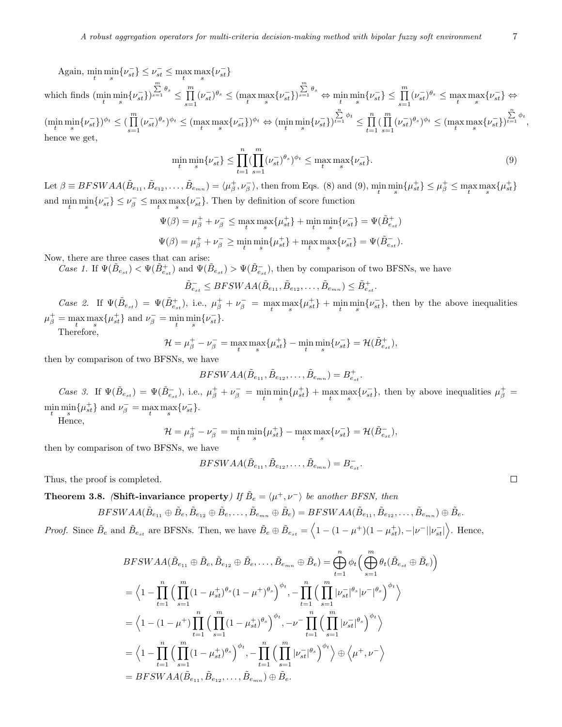$\text{Again, } \min_{t} \min_{s} \{ \nu_{st}^{-1} \} \leq \nu_{st}^{-1} \leq \max_{t} \max_{s} \{ \nu_{st}^{-1} \}$ 

which finds  $(\min_t \min_s \{ \nu_{st}^- \})$  $\sum_{s=1}^m \theta_s \leq \prod_{s=1}^m$  $\prod_{s=1} (v_{st}^-)^\theta$ <sup>*s*</sup>  $\leq$  (max max {*v<sub>st</sub>*})  $\sum_{s=1}^{m} \theta_s \Leftrightarrow \min_t \min_s \{ \nu_{st}^- \} \le \prod_{s=1}^{m} (\nu_{st}^-)^{\theta_s} \le \max_t \max_s \{ \nu_{st}^- \} \Leftrightarrow$  $(\min_{t} \min_{s} \{\nu_{st}^{-}\})^{\phi_t} \leq (\prod_{s=1}^{m}$  $\prod_{s=1} (\nu_{st}^-)^{\theta_s})^{\phi_t} \leq (\max_t \max_s {\{\nu_{st}^-\}})^{\phi_t} \Leftrightarrow (\min_s \min_s {\{\nu_{st}^-\}})$  $\sum_{t=1}^n \phi_t \leq \prod_{t=1}^n$  $\prod_{t=1}^n \left( \prod_{s=i}^m \right)$  $\prod_{s=1} (V_{st}^{-})^{\theta_s}$ ,  $\phi_t \leq (\max_t \max_s \{v_{st}^{-}\})$  $\sum_{t=1}^n \phi_t$ , hence we get,

$$
\min_{t} \min_{s} \{\nu_{st}^{-}\} \le \prod_{t=1}^{n} \left(\prod_{s=1}^{m} (\nu_{st}^{-})^{\theta_{s}}\right)^{\phi_{t}} \le \max_{t} \max_{s} \{\nu_{st}^{-}\}.
$$
\n(9)

Let  $\beta \equiv BFSWAA(\tilde{B}_{e_{11}}, \tilde{B}_{e_{12}}, \ldots, \tilde{B}_{e_{mn}}) = \langle \mu_{\beta}^+, \nu_{\beta}^-\rangle$ , then from Eqs. (8) and (9),  $\min_t \min_s \{\mu_{st}^+\} \leq \mu_{\beta}^+ \leq \max_s \{\mu_{st}^+\}$ and  $\min_t \min_s \{ \nu_{st}^- \} \leq \nu_{\beta}^- \leq \max_t \max_s \{ \nu_{st}^- \}.$  Then by definition of score function

$$
\begin{aligned} \Psi(\beta) &= \mu_\beta^+ + \nu_\beta^- \leq \max_t \max_s \{\mu_{st}^+\} + \min_t \min_s \{\nu_{st}^-\} = \Psi(\tilde{B}_{e_{st}}^+) \\ \Psi(\beta) &= \mu_\beta^+ + \nu_\beta^- \geq \min_t \min_s \{\mu_{st}^+\} + \max_t \max_s \{\nu_{st}^-\} = \Psi(\tilde{B}_{e_{st}}^-). \end{aligned}
$$

Now, there are three cases that can arise:

*Case 1.* If  $\Psi(\tilde{B}_{e_{st}}) < \Psi(\tilde{B}_{e_{st}})$  and  $\Psi(\tilde{B}_{e_{st}}) > \Psi(\tilde{B}_{e_{st}})$ , then by comparison of two BFSNs, we have

$$
\tilde{B}_{e_{st}}^- \leq BFSWAA(\tilde{B}_{e_{11}}, \tilde{B}_{e_{12}}, \dots, \tilde{B}_{e_{mn}}) \leq \tilde{B}_{e_{st}}^+.
$$

Case 2. If  $\Psi(\tilde{B}_{e_{st}}) = \Psi(\tilde{B}_{e_{st}}^+),$  i.e.,  $\mu_{\beta}^+ + \nu_{\beta}^- = \max_t \max_s {\{\mu_{st}^+\}} + \min_s \min_s {\{\nu_{st}^-\}},$  then by the above inequalities  $\mu_{\beta}^{+} = \max_{t} \max_{s} {\{\mu_{st}^{+}\}\}$  and  $\nu_{\beta}^{-} = \min_{t} \min_{s} {\{\nu_{st}^{-}\}\}.$ Therefore,  $u = u^+$ 

$$
\mathcal{H} = \mu_{\beta}^{+} - \nu_{\beta}^{-} = \max_{t} \max_{s} {\{\mu_{st}^{+}\}} - \min_{t} \min_{s} {\{\nu_{st}^{-}\}} = \mathcal{H}(\tilde{B}_{e_{st}}^{+}),
$$

then by comparison of two BFSNs, we have

$$
BFSWAA(\tilde{B}_{e_{11}}, \tilde{B}_{e_{12}}, \ldots, \tilde{B}_{e_{mn}}) = B_{e_{st}}^{+}.
$$

Case 3. If  $\Psi(\tilde{B}_{e_{st}}) = \Psi(\tilde{B}_{e_{st}}^-)$ , i.e.,  $\mu_{\beta}^+ + \nu_{\beta}^- = \min_t \min_s {\mu_{st}^+} + \max_t \max_s {\nu_{st}^-}$ , then by above inequalities  $\mu_{\beta}^+ =$  $\min_{t} \min_{s} {\{\mu_{st}^+\}\}$  and  $\nu_{\beta}^- = \max_{t} \max_{s} {\{\nu_{st}^-\}.}$ 

Hence,  $u = u^+$ 

$$
\mathcal{H} = \mu_{\beta}^{+} - \nu_{\beta}^{-} = \min_{t} \min_{s} {\{\mu_{st}^{+}\}} - \max_{t} \max_{s} {\{\nu_{st}^{-}\}} = \mathcal{H}(\tilde{B}_{e_{st}}^{-}),
$$

then by comparison of two BFSNs, we have

$$
BFSWAA(\tilde{B}_{e_{11}}, \tilde{B}_{e_{12}}, \ldots, \tilde{B}_{e_{mn}}) = B_{e_{st}}^{-}.
$$

Thus, the proof is completed.

**Theorem 3.8.** *(Shift-invariance property) If*  $\tilde{B}_e = \langle \mu^+, \nu^- \rangle$  *be another BFSN, then* 

$$
BFSWAA(\tilde{B}_{e_{11}} \oplus \tilde{B}_e, \tilde{B}_{e_{12}} \oplus \tilde{B}_e, \ldots, \tilde{B}_{e_{mn}} \oplus \tilde{B}_e) = BFSWAA(\tilde{B}_{e_{11}}, \tilde{B}_{e_{12}}, \ldots, \tilde{B}_{e_{mn}}) \oplus \tilde{B}_e.
$$

*Proof.* Since  $\tilde{B}_e$  and  $\tilde{B}_{e_{st}}$  are BFSNs. Then, we have  $\tilde{B}_e \oplus \tilde{B}_{e_{st}} = \left\langle 1 - (1 - \mu^+) (1 - \mu_{st}^+) , -|\nu^-| |\nu_{st}^-| \right\rangle$ . Hence,

$$
BFSWAA(\tilde{B}_{e_{11}} \oplus \tilde{B}_e, \tilde{B}_{e_{12}} \oplus \tilde{B}_e, \dots, \tilde{B}_{e_{mn}} \oplus \tilde{B}_e) = \bigoplus_{t=1}^n \phi_t \Big( \bigoplus_{s=1}^m \theta_t (\tilde{B}_{e_{st}} \oplus \tilde{B}_e) \Big)
$$
  
\n
$$
= \Big\langle 1 - \prod_{t=1}^n \Big( \prod_{s=1}^m (1 - \mu_{st}^+)^{\theta_s} (1 - \mu^+)^{\theta_s} \Big)^{\phi_t}, - \prod_{t=1}^n \Big( \prod_{s=1}^m |\nu_{st}^-|^{\theta_s} |\nu^-|^{\theta_s} \Big)^{\phi_t} \Big\rangle
$$
  
\n
$$
= \Big\langle 1 - (1 - \mu^+) \prod_{t=1}^n \Big( \prod_{s=1}^m (1 - \mu_{st}^+)^{\theta_s} \Big)^{\phi_t}, -\nu^- \prod_{t=1}^n \Big( \prod_{s=1}^m |\nu_{st}^-|^{\theta_s} \Big)^{\phi_t} \Big\rangle
$$
  
\n
$$
= \Big\langle 1 - \prod_{t=1}^n \Big( \prod_{s=1}^m (1 - \mu_{st}^+)^{\theta_s} \Big)^{\phi_t}, - \prod_{t=1}^n \Big( \prod_{s=1}^m |\nu_{st}^-|^{\theta_s} \Big)^{\phi_t} \Big\rangle \oplus \Big\langle \mu^+, \nu^- \Big\rangle
$$
  
\n
$$
= BFSWA(\tilde{B}_{e_{11}}, \tilde{B}_{e_{12}}, \dots, \tilde{B}_{e_{mn}}) \oplus \tilde{B}_e.
$$

 $\Box$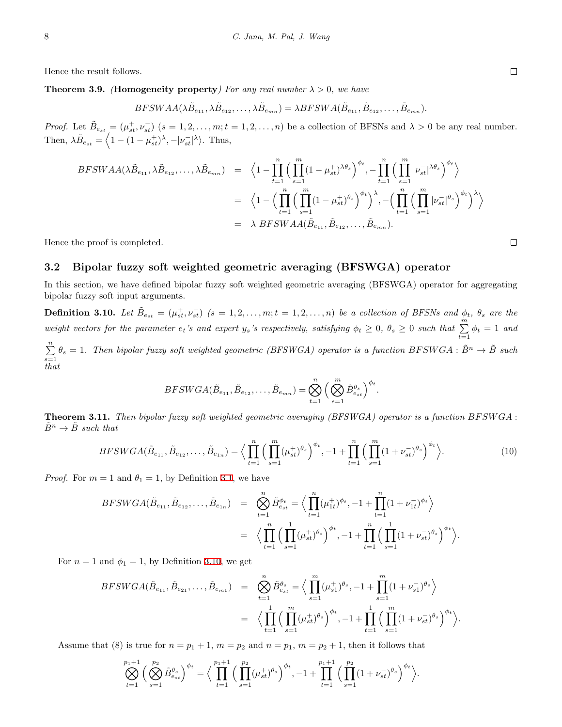Hence the result follows.

**Theorem 3.9.** *(Homogeneity property) For any real number*  $\lambda > 0$ *, we have* 

$$
BFSWAA(\lambda \tilde{B}_{e_{11}}, \lambda \tilde{B}_{e_{12}}, \dots, \lambda \tilde{B}_{e_{mn}}) = \lambda BFSWA(\tilde{B}_{e_{11}}, \tilde{B}_{e_{12}}, \dots, \tilde{B}_{e_{mn}}).
$$

*Proof.* Let  $\tilde{B}_{e_{st}} = (\mu_{st}^+, \nu_{st}^-)$   $(s = 1, 2, ..., m; t = 1, 2, ..., n)$  be a collection of BFSNs and  $\lambda > 0$  be any real number. Then,  $\lambda \tilde{B}_{e_{st}} = \langle 1 - (1 - \mu_{st}^+)^{\lambda}, - | \nu_{st}^- |^{\lambda} \rangle$ . Thus,

$$
BFSWAA(\lambda \tilde{B}_{e_{11}}, \lambda \tilde{B}_{e_{12}}, \dots, \lambda \tilde{B}_{e_{mn}}) = \left\langle 1 - \prod_{t=1}^{n} \left( \prod_{s=1}^{m} (1 - \mu_{st}^{+})^{\lambda \theta_{s}} \right)^{\phi_{t}}, - \prod_{t=1}^{n} \left( \prod_{s=1}^{m} |\nu_{st}^{-}|^{\lambda \theta_{s}} \right)^{\phi_{t}} \right\rangle
$$
  

$$
= \left\langle 1 - \left( \prod_{t=1}^{n} \left( \prod_{s=1}^{m} (1 - \mu_{st}^{+})^{\theta_{s}} \right)^{\phi_{t}} \right)^{\lambda}, - \left( \prod_{t=1}^{n} \left( \prod_{s=1}^{m} |\nu_{st}^{-}|^{\theta_{s}} \right)^{\phi_{t}} \right)^{\lambda} \right\rangle
$$
  

$$
= \lambda BFSWAA(\tilde{B}_{e_{11}}, \tilde{B}_{e_{12}}, \dots, \tilde{B}_{e_{mn}}).
$$

Hence the proof is completed.

#### **3.2 Bipolar fuzzy soft weighted geometric averaging (BFSWGA) operator**

In this section, we have defined bipolar fuzzy soft weighted geometric averaging (BFSWGA) operator for aggregating bipolar fuzzy soft input arguments.

<span id="page-7-0"></span>**Definition 3.10.** Let  $\tilde{B}_{e_{st}} = (\mu_{st}^+, \nu_{st}^-)$   $(s = 1, 2, \ldots, m; t = 1, 2, \ldots, n)$  be a collection of BFSNs and  $\phi_t$ ,  $\theta_s$  are the weight vectors for the parameter  $e_t$ 's and expert  $y_s$ 's respectively, satisfying  $\phi_t \geq 0$ ,  $\theta_s \geq 0$  such that  $\sum_{t=1}^{m} \phi_t = 1$  and

∑*n*  $\sum_{s=1}^{n} \theta_s = 1$ . Then bipolar fuzzy soft weighted geometric (BFSWGA) operator is a function  $BFSWGA : \tilde{B}^n \to \tilde{B}$  such *that*

$$
BFSWGA(\tilde{B}_{e_{11}},\tilde{B}_{e_{12}},\ldots,\tilde{B}_{e_{m}n})=\bigotimes_{t=1}^n\Big(\bigotimes_{s=1}^m\tilde{B}_{e_{st}}^{\theta_s}\Big)^{\phi_t}.
$$

**Theorem 3.11.** *Then bipolar fuzzy soft weighted geometric averaging (BFSWGA) operator is a function BF SW GA* :  $\tilde{B}^n \to \tilde{B}$  *such that* 

$$
BFSWGA(\tilde{B}_{e_{11}}, \tilde{B}_{e_{12}}, \dots, \tilde{B}_{e_{1n}}) = \Big\langle \prod_{t=1}^{n} \Big(\prod_{s=1}^{m} (\mu_{st}^{+})^{\theta_{s}} \Big)^{\phi_{t}}, -1 + \prod_{t=1}^{n} \Big(\prod_{s=1}^{m} (1 + \nu_{st}^{-})^{\theta_{s}} \Big)^{\phi_{t}} \Big\rangle. \tag{10}
$$

*Proof.* For  $m = 1$  and  $\theta_1 = 1$ , by Definition [3.1](#page-3-1), we have

$$
BFSWGA(\tilde{B}_{e_{11}}, \tilde{B}_{e_{12}}, \dots, \tilde{B}_{e_{1n}}) = \bigotimes_{t=1}^{n} \tilde{B}_{e_{st}}^{\phi_t} = \Big\langle \prod_{t=1}^{n} (\mu_{1t}^+)^{\phi_t}, -1 + \prod_{t=1}^{n} (1 + \nu_{1t}^-)^{\phi_t} \Big\rangle
$$
  

$$
= \Big\langle \prod_{t=1}^{n} \Big( \prod_{s=1}^{n} (\mu_{st}^+)^{\theta_s} \Big)^{\phi_t}, -1 + \prod_{t=1}^{n} \Big( \prod_{s=1}^{n} (1 + \nu_{st}^-)^{\theta_s} \Big)^{\phi_t} \Big\rangle.
$$

For  $n = 1$  and  $\phi_1 = 1$ , by Definition [3.10,](#page-7-0) we get

$$
BFSWGA(\tilde{B}_{e_{11}}, \tilde{B}_{e_{21}}, \dots, \tilde{B}_{e_{m1}}) = \bigotimes_{t=1}^{n} \tilde{B}_{e_{st}}^{\theta_s} = \Big\langle \prod_{s=1}^{m} (\mu_{s1}^+)^{\theta_s}, -1 + \prod_{s=1}^{m} (1 + \nu_{s1}^-)^{\theta_s} \Big\rangle
$$
  

$$
= \Big\langle \prod_{t=1}^{1} \Big( \prod_{s=1}^{m} (\mu_{st}^+)^{\theta_s} \Big)^{\phi_t}, -1 + \prod_{t=1}^{1} \Big( \prod_{s=1}^{m} (1 + \nu_{st}^-)^{\theta_s} \Big)^{\phi_t} \Big\rangle.
$$

Assume that (8) is true for  $n = p_1 + 1$ ,  $m = p_2$  and  $n = p_1$ ,  $m = p_2 + 1$ , then it follows that

$$
\bigotimes_{t=1}^{p_1+1} \left( \bigotimes_{s=1}^{p_2} \tilde{B}_{e_{st}}^{\theta_s} \right)^{\phi_t} = \Big\langle \prod_{t=1}^{p_1+1} \left( \prod_{s=1}^{p_2} (\mu_{st}^+)^{\theta_s} \right)^{\phi_t}, -1 + \prod_{t=1}^{p_1+1} \left( \prod_{s=1}^{p_2} (1 + \nu_{st}^-)^{\theta_s} \right)^{\phi_t} \Big\rangle.
$$

 $\Box$ 

 $\Box$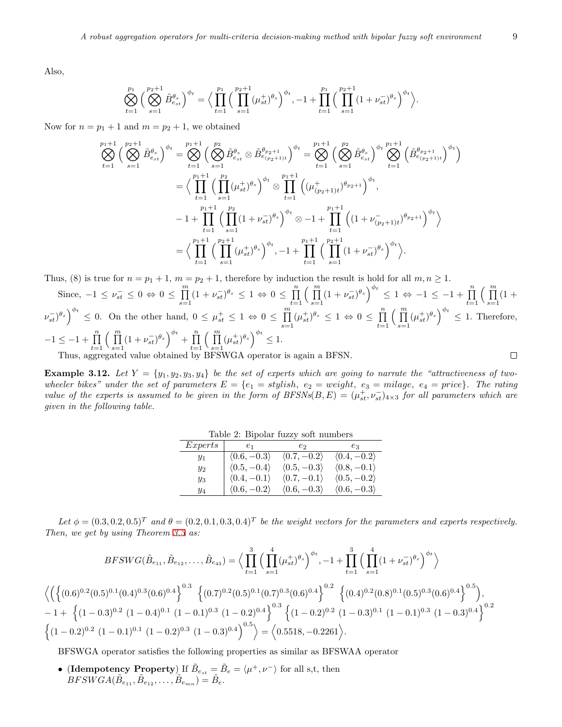Also,

$$
\bigotimes_{t=1}^{p_1} \left( \bigotimes_{s=1}^{p_2+1} \tilde{B}_{e_{st}}^{\theta_s} \right)^{\phi_t} = \Big\langle \prod_{t=1}^{p_1} \Big( \prod_{s=1}^{p_2+1} (\mu_{st}^+)^{\theta_s} \Big)^{\phi_t}, -1 + \prod_{t=1}^{p_1} \Big( \prod_{s=1}^{p_2+1} (1 + \nu_{st}^-)^{\theta_s} \Big)^{\phi_t} \Big\rangle.
$$

Now for  $n = p_1 + 1$  and  $m = p_2 + 1$ , we obtained

$$
\bigotimes_{t=1}^{p_1+1} \left( \bigotimes_{s=1}^{p_2+1} \tilde{B}_{e_{st}}^{\theta_s} \right)^{\phi_t} = \bigotimes_{t=1}^{p_1+1} \left( \bigotimes_{s=1}^{p_2} \tilde{B}_{e_{st}}^{\theta_s} \otimes \tilde{B}_{e_{(p_2+1)t}}^{\theta_{p_2+1}} \right)^{\phi_t} = \bigotimes_{t=1}^{p_1+1} \left( \bigotimes_{s=1}^{p_2} \tilde{B}_{e_{st}}^{\theta_s} \right)^{\phi_t} \bigotimes_{t=1}^{p_1+1} \left( \tilde{B}_{e_{(p_2+1)t}}^{\theta_s} \right)^{\phi_t}
$$
\n
$$
= \bigg\langle \prod_{t=1}^{p_1+1} \left( \prod_{s=1}^{p_2} (\mu_{st}^+)^{\theta_s} \right)^{\phi_t} \otimes \prod_{t=1}^{p_1+1} \left( (\mu_{(p_2+1)t}^+)^{\theta_{p_2+1}} \right)^{\phi_t},
$$
\n
$$
-1 + \prod_{t=1}^{p_1+1} \left( \prod_{s=1}^{p_2} (1 + \nu_{st})^{\theta_s} \right)^{\phi_t} \otimes -1 + \prod_{t=1}^{p_1+1} \left( (1 + \nu_{(p_2+1)t}^-)^{\theta_{p_2+1}} \right)^{\phi_t} \bigg\rangle
$$
\n
$$
= \bigg\langle \prod_{t=1}^{p_1+1} \left( \prod_{s=1}^{p_2+1} (\mu_{st}^+)^{\theta_s} \right)^{\phi_t}, -1 + \prod_{t=1}^{p_1+1} \left( \prod_{s=1}^{p_2+1} (1 + \nu_{st}^-)^{\theta_s} \right)^{\phi_t} \bigg\rangle.
$$

Thus, (8) is true for  $n = p_1 + 1$ ,  $m = p_2 + 1$ , therefore by induction the result is hold for all  $m, n \ge 1$ .

Since,  $-1 \leq \nu_{st}^- \leq 0 \Leftrightarrow 0 \leq \prod^m$  $\prod_{s=1}^{m} (1 + \nu_{st}^{-})^{\theta_s} \leq 1 \Leftrightarrow 0 \leq \prod_{t=1}^{n}$  $\left( \begin{array}{c} m \\ \overline{n} \end{array} \right)$  $\prod_{s=1}^{m} (1 + \nu_{st}^{-})^{\theta_s} \Big)^{\phi_t} \leq 1 \Leftrightarrow -1 \leq -1 + \prod_{t=1}^{n}$  $\left( \begin{array}{c} m \\ \overline{n} \end{array} \right)$  $\prod_{s=1}^{1}$  (1 + *t*=1  $\nu_{st}^{-1}$ ,  $\theta_s$ ,  $\theta_t$ ,  $\theta_s$  6 0  $\theta_s$  0 0 0 0 0 0 0  $\theta_s$  1  $\theta_t$  $\prod_{s=1}^{m} (\mu_{st}^{+})^{\theta_s} \leq 1 \Leftrightarrow 0 \leq \prod_{t=1}^{n}$  $\left( \begin{array}{c} m \\ \overline{11} \end{array} \right)$  $\prod_{s=1}^{m} (\mu_{st}^+)^{\theta_s} \right)^{\phi_t} \leq 1$ . Therefore, *t*=1  $-1 \leq -1 + \prod_{i=1}^{n} \left( \prod_{i=1}^{m} (1 + \nu_{st}^{-})^{\theta_s} \right)^{\phi_t} + \prod_{i=1}^{n} \left( \prod_{i=1}^{m} (\mu_{st}^{+})^{\theta_s} \right)^{\phi_t} \leq 1.$ Thus, aggregated value obtained by BFSWGA operator is again a BFSN.  $\Box$ 

**Example 3.12.** Let  $Y = \{y_1, y_2, y_3, y_4\}$  be the set of experts which are going to narrate the "attractiveness of two*wheeler bikes" under the set of parameters*  $E = \{e_1 = stylish, e_2 = weight, e_3 = mileage, e_4 = price\}$ *. The rating value of the experts is assumed to be given in the form of*  $BFSNs(B, E) = (\mu_{st}^+, \nu_{st}^-)_{4\times3}$  *for all parameters which are given in the following table.*

| Express | $e_1$                       | e2                          | eз                          |
|---------|-----------------------------|-----------------------------|-----------------------------|
| $y_1$   | $\langle 0.6, -0.3 \rangle$ | $\langle 0.7, -0.2 \rangle$ | $\langle 0.4, -0.2 \rangle$ |
| $y_2$   | $\langle 0.5, -0.4 \rangle$ | $\langle 0.5, -0.3 \rangle$ | $\langle 0.8, -0.1 \rangle$ |
| $y_3$   | $\langle 0.4, -0.1 \rangle$ | $\langle 0.7, -0.1 \rangle$ | $\langle 0.5, -0.2 \rangle$ |
| У4      | $\langle 0.6, -0.2 \rangle$ | $\langle 0.6, -0.3 \rangle$ | $\langle 0.6, -0.3 \rangle$ |

Table 2: Bipolar fuzzy soft numbers

Let  $\phi = (0.3, 0.2, 0.5)^T$  and  $\theta = (0.2, 0.1, 0.3, 0.4)^T$  be the weight vectors for the parameters and experts respectively. *Then, we get by using Theorem [3.3](#page-3-0) as:*

$$
BFSWG(\tilde{B}_{e_{11}}, \tilde{B}_{e_{12}}, \dots, \tilde{B}_{e_{43}}) = \Big\langle \prod_{t=1}^{3} \Big( \prod_{s=1}^{4} (\mu_{st}^{+})^{\theta_{s}} \Big)^{\phi_{t}}, -1 + \prod_{t=1}^{3} \Big( \prod_{s=1}^{4} (1 + \nu_{st}^{-})^{\theta_{s}} \Big)^{\phi_{t}} \Big\rangle
$$
  

$$
\Big\langle \Big( \Big\{ (0.6)^{0.2} (0.5)^{0.1} (0.4)^{0.3} (0.6)^{0.4} \Big\}^{0.3} \Big\{ (0.7)^{0.2} (0.5)^{0.1} (0.7)^{0.3} (0.6)^{0.4} \Big\}^{0.2} \Big\{ (0.4)^{0.2} (0.8)^{0.1} (0.5)^{0.3} (0.6)^{0.4} \Big\}^{0.5} \Big\},
$$
  

$$
-1 + \Big\{ (1 - 0.3)^{0.2} (1 - 0.4)^{0.1} (1 - 0.1)^{0.3} (1 - 0.2)^{0.4} \Big\}^{0.3} \Big\{ (1 - 0.2)^{0.2} (1 - 0.3)^{0.1} (1 - 0.1)^{0.3} (1 - 0.3)^{0.4} \Big\}^{0.2}
$$
  

$$
\Big\{ (1 - 0.2)^{0.2} (1 - 0.1)^{0.1} (1 - 0.2)^{0.3} (1 - 0.3)^{0.4} \Big\}^{0.5} \Big\rangle = \Big\langle 0.5518, -0.2261 \Big\rangle.
$$

BFSWGA operator satisfies the following properties as similar as BFSWAA operator

• (Idempotency Property) If  $\tilde{B}_{e_{st}} = \tilde{B}_e = \langle \mu^+, \nu^- \rangle$  for all s,t, then  $BFSWGA(\tilde{B}_{e_{11}}, \tilde{B}_{e_{12}}, \ldots, \tilde{B}_{e_{mn}}) = \tilde{B}_{e}.$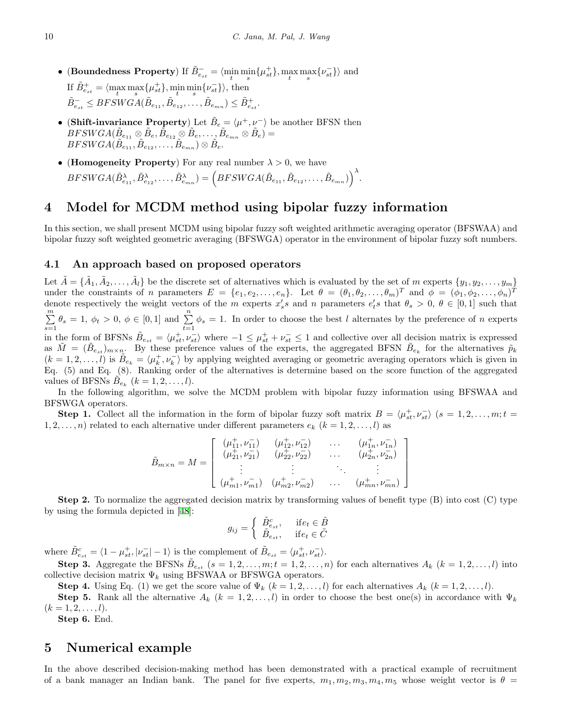- *•* (**Boundedness Property**) If  $\tilde{B}_{e_{st}}^- = \langle \min_t \min_s \{ \mu_{st}^+ \}, \max_s \max_s \{ \nu_{st}^- \} \rangle$  and If  $\tilde{B}^+_{e_{st}} = \langle \max_t \max_s \{ \mu_{st}^+ \}, \min_t \min_s \{ \nu_{st}^- \} \rangle$ , then  $\tilde{B}_{e_{st}}^{-} \leq BFSWGA(\tilde{B}_{e_{11}}, \tilde{B}_{e_{12}}, \ldots, \tilde{B}_{e_{mn}}) \leq \tilde{B}_{e_{st}}^{+}.$
- (Shift-invariance Property) Let  $\tilde{B}_e = \langle \mu^+, \nu^- \rangle$  be another BFSN then  $\hat{B}FSWGA(\tilde{B}_{e_{11}}\otimes \tilde{B}_{e}, \tilde{\tilde{B}}_{e_{12}}\otimes \tilde{B}_{e}, \dots, \tilde{B}_{e_{mn}}\otimes \tilde{B}_{e})=0$  $BFSWGA(\tilde{B}_{e_{11}}^{\text{max}}, \tilde{B}_{e_{12}}, \ldots, \tilde{B}_{e_{mn}}) \otimes \tilde{B}_{e}.$
- (**Homogeneity Property**) For any real number  $\lambda > 0$ , we have  $BFSWGA(\tilde{B}_{e_{11}}^{\lambda}, \tilde{B}_{e_{12}}^{\lambda}, \ldots, \tilde{B}_{e_{mn}}^{\lambda}) = \Big(BFSWGA(\tilde{B}_{e_{11}}, \tilde{B}_{e_{12}}, \ldots, \tilde{B}_{e_{mn}})\Big)^{\lambda}.$

## **4 Model for MCDM method using bipolar fuzzy information**

In this section, we shall present MCDM using bipolar fuzzy soft weighted arithmetic averaging operator (BFSWAA) and bipolar fuzzy soft weighted geometric averaging (BFSWGA) operator in the environment of bipolar fuzzy soft numbers.

#### **4.1 An approach based on proposed operators**

Let  $\tilde{A} = \{\tilde{A}_1, \tilde{A}_2, \ldots, \tilde{A}_l\}$  be the discrete set of alternatives which is evaluated by the set of m experts  $\{y_1, y_2, \ldots, y_m\}$ under the constraints of *n* parameters  $E = \{e_1, e_2, \ldots, e_n\}$ . Let  $\theta = (\theta_1, \theta_2, \ldots, \theta_m)^T$  and  $\phi = (\phi_1, \phi_2, \ldots, \phi_n)^T$ denote respectively the weight vectors of the m experts  $x'_s s$  and n parameters  $e'_t s$  that  $\theta_s > 0, \ \theta \in [0,1]$  such that ∑*m*  $\sum_{s=1}^{m} \theta_s = 1, \ \phi_t > 0, \ \phi \in [0,1]$  and  $\sum_{t=1}^{n} \phi_s = 1$ . In order to choose the best l alternates by the preference of n experts in the form of BFSNs  $\tilde{B}_{e_{st}} = \langle \mu_{st}^+, \nu_{st}^- \rangle$  where  $-1 \leq \mu_{st}^+ + \nu_{st}^- \leq 1$  and collective over all decision matrix is expressed as  $\tilde{M} = (\tilde{B}_{e_{st}})_{m \times n}$ . By these preference values of the experts, the aggregated BFSN  $\tilde{B}_{e_k}$  for the alternatives  $\tilde{p}_k$  $(k = 1, 2, \ldots, l)$  is  $\tilde{B}_{e_k} = \langle \mu_k^+, \nu_k^- \rangle$  by applying weighted averaging or geometric averaging operators which is given in Eq. (5) and Eq. (8). Ranking order of the alternatives is determine based on the score function of the aggregated values of BFSNs  $\widetilde{B}_{e_k}$   $(k = 1, 2, \ldots, l)$ .

In the following algorithm, we solve the MCDM problem with bipolar fuzzy information using BFSWAA and BFSWGA operators.

**Step 1.** Collect all the information in the form of bipolar fuzzy soft matrix  $B = \langle \mu_{st}^+, \nu_{st}^- \rangle$  ( $s = 1, 2, ..., m; t =$ 1, 2,  $\dots$ , *n*) related to each alternative under different parameters  $e_k$  ( $k = 1, 2, \dots, l$ ) as

$$
\tilde{B}_{m \times n} = M = \begin{bmatrix}\n(\mu_{11}^+, \nu_{11}^-) & (\mu_{12}^+, \nu_{12}^-) & \cdots & (\mu_{1n}^+, \nu_{1n}^-) \\
(\mu_{21}^+, \nu_{21}^-) & (\mu_{22}^+, \nu_{22}^-) & \cdots & (\mu_{2n}^+, \nu_{2n}^-) \\
\vdots & \vdots & \ddots & \vdots \\
(\mu_{m1}^+, \nu_{m1}^-) & (\mu_{m2}^+, \nu_{m2}^-) & \cdots & (\mu_{mn}^+, \nu_{mn}^-)\n\end{bmatrix}
$$

**Step 2.** To normalize the aggregated decision matrix by transforming values of benefit type (B) into cost (C) type by using the formula depicted in [[48](#page-14-21)]:

$$
g_{ij} = \begin{cases} \tilde{B}_{e_{st}}^c, & \text{if } e_t \in \tilde{B} \\ \tilde{B}_{e_{st}}, & \text{if } e_t \in \tilde{C} \end{cases}
$$

where  $\tilde{B}_{e_{st}}^c = \langle 1 - \mu_{st}^+, |\nu_{st}^-| - 1 \rangle$  is the complement of  $\tilde{B}_{e_{st}} = \langle \mu_{st}^+, \nu_{st}^- \rangle$ .

**Step 3.** Aggregate the BFSNs  $\tilde{B}_{e_{st}}$  ( $s = 1, 2, ..., m$ ;  $t = 1, 2, ..., n$ ) for each alternatives  $A_k$  ( $k = 1, 2, ..., l$ ) into collective decision matrix  $\Psi_k$  using BFSWAA or BFSWGA operators.

**Step 4.** Using Eq. (1) we get the score value of  $\Psi_k$  ( $k = 1, 2, \ldots, l$ ) for each alternatives  $A_k$  ( $k = 1, 2, \ldots, l$ ). **Step 5.** Rank all the alternative  $A_k$  ( $k = 1, 2, ..., l$ ) in order to choose the best one(s) in accordance with  $\Psi_k$ 

 $(k = 1, 2, \ldots, l).$ **Step 6.** End.

#### **5 Numerical example**

In the above described decision-making method has been demonstrated with a practical example of recruitment of a bank manager an Indian bank. The panel for five experts,  $m_1, m_2, m_3, m_4, m_5$  whose weight vector is  $\theta$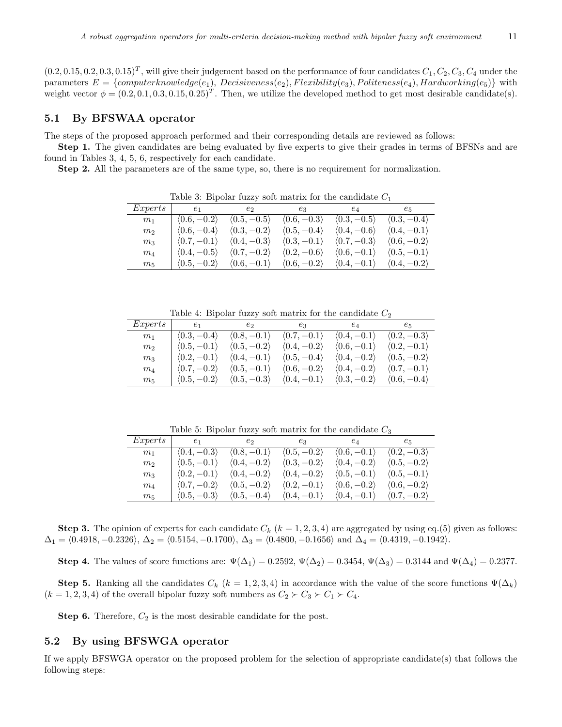$(0.2, 0.15, 0.2, 0.3, 0.15)^T$ , will give their judgement based on the performance of four candidates  $C_1, C_2, C_3, C_4$  under the  $parameters \ E = \{computerknowledge(e_1), \ Decisiveness(e_2), Flexiblity(e_3), \ Politeness(e_4), Hardworking(e_5)\}$  with weight vector  $\phi = (0.2, 0.1, 0.3, 0.15, 0.25)^T$ . Then, we utilize the developed method to get most desirable candidate(s).

#### **5.1 By BFSWAA operator**

The steps of the proposed approach performed and their corresponding details are reviewed as follows:

**Step 1.** The given candidates are being evaluated by five experts to give their grades in terms of BFSNs and are found in Tables 3, 4, 5, 6, respectively for each candidate.

**Step 2.** All the parameters are of the same type, so, there is no requirement for normalization.

| <b>Table 0. Dipolar ruzzy solu matrix for the candidate C</b> |                             |                             |                             |                             |                             |  |  |
|---------------------------------------------------------------|-----------------------------|-----------------------------|-----------------------------|-----------------------------|-----------------------------|--|--|
| Express                                                       | $e_1$                       | $e_2$                       | $e_3$                       | $e_4$                       | $e_{5}$                     |  |  |
| m <sub>1</sub>                                                | $\langle 0.6, -0.2 \rangle$ | $\langle 0.5, -0.5 \rangle$ | $\langle 0.6, -0.3 \rangle$ | $\langle 0.3, -0.5 \rangle$ | $\langle 0.3, -0.4 \rangle$ |  |  |
| m <sub>2</sub>                                                | $\langle 0.6, -0.4 \rangle$ | $\langle 0.3, -0.2 \rangle$ | $\langle 0.5, -0.4 \rangle$ | $\langle 0.4, -0.6 \rangle$ | $\langle 0.4, -0.1 \rangle$ |  |  |
| m <sub>3</sub>                                                | $\langle 0.7, -0.1 \rangle$ | $\langle 0.4, -0.3 \rangle$ | $\langle 0.3, -0.1 \rangle$ | $\langle 0.7, -0.3 \rangle$ | $\langle 0.6, -0.2 \rangle$ |  |  |
| $m_4$                                                         | $\langle 0.4, -0.5 \rangle$ | $\langle 0.7, -0.2 \rangle$ | $\langle 0.2, -0.6 \rangle$ | $\langle 0.6, -0.1 \rangle$ | $\langle 0.5, -0.1 \rangle$ |  |  |
| m <sub>5</sub>                                                | $\langle 0.5, -0.2 \rangle$ | $\langle 0.6, -0.1 \rangle$ | $\langle 0.6, -0.2 \rangle$ | $\langle 0.4, -0.1 \rangle$ | $\langle 0.4, -0.2 \rangle$ |  |  |

Table 3: Bipolar fuzzy soft matrix for the candidate *C*<sup>1</sup>

Table 4: Bipolar fuzzy soft matrix for the candidate *C*<sup>2</sup>

| Experts        | $e_1$                       | $e_2$                       | $e_3$                       | $e_4$                       | $e_{5}$                     |
|----------------|-----------------------------|-----------------------------|-----------------------------|-----------------------------|-----------------------------|
| m <sub>1</sub> | $\langle 0.3, -0.4 \rangle$ | $\langle 0.8, -0.1 \rangle$ | $\langle 0.7, -0.1 \rangle$ | $\langle 0.4, -0.1 \rangle$ | $\langle 0.2, -0.3 \rangle$ |
| m <sub>2</sub> | $\langle 0.5, -0.1 \rangle$ | $\langle 0.5, -0.2 \rangle$ | $\langle 0.4, -0.2 \rangle$ | $\langle 0.6, -0.1 \rangle$ | $\langle 0.2, -0.1 \rangle$ |
| m <sub>3</sub> | $\langle 0.2, -0.1 \rangle$ | $\langle 0.4, -0.1 \rangle$ | $\langle 0.5, -0.4 \rangle$ | $\langle 0.4, -0.2 \rangle$ | $\langle 0.5, -0.2 \rangle$ |
| $m_4$          | $\langle 0.7, -0.2 \rangle$ | $\langle 0.5, -0.1 \rangle$ | $\langle 0.6, -0.2 \rangle$ | $\langle 0.4, -0.2 \rangle$ | $\langle 0.7, -0.1 \rangle$ |
| $m_5$          | $\langle 0.5, -0.2 \rangle$ | $\langle 0.5, -0.3 \rangle$ | $\langle 0.4, -0.1 \rangle$ | $\langle 0.3, -0.2 \rangle$ | $\langle 0.6, -0.4 \rangle$ |

Table 5: Bipolar fuzzy soft matrix for the candidate *C*<sup>3</sup>

| Express        | $e_1$ and $e_1$             | $e_2$                       | $e_3$                       | $e_4$                                     | $e_{5}$                     |
|----------------|-----------------------------|-----------------------------|-----------------------------|-------------------------------------------|-----------------------------|
| m <sub>1</sub> | $\langle 0.4, -0.3 \rangle$ | $\langle 0.8, -0.1 \rangle$ | $\langle 0.5, -0.2 \rangle$ | $\langle 0.6, -0.1 \rangle$               | $\langle 0.2, -0.3 \rangle$ |
| m <sub>2</sub> | $\langle 0.5, -0.1 \rangle$ | $\langle 0.4, -0.2 \rangle$ | $\langle 0.3, -0.2 \rangle$ | $\langle 0.4, -0.2 \rangle$               | $\langle 0.5, -0.2 \rangle$ |
| m <sub>3</sub> | $\langle 0.2, -0.1 \rangle$ | $\langle 0.4, -0.2 \rangle$ | $\langle 0.4, -0.2 \rangle$ | $(0.5, -0.1)$ $(0.5, -0.1)$               |                             |
| $m_4$          | $\langle 0.7, -0.2 \rangle$ | $\langle 0.5, -0.2 \rangle$ | $\langle 0.2, -0.1 \rangle$ | $\langle 0.6, -0.2 \rangle$               | $\langle 0.6, -0.2 \rangle$ |
| m <sub>5</sub> | $\langle 0.5, -0.3 \rangle$ | $\langle 0.5, -0.4 \rangle$ |                             | $(0.4, -0.1)$ $(0.4, -0.1)$ $(0.7, -0.2)$ |                             |

**Step 3.** The opinion of experts for each candidate  $C_k$  ( $k = 1, 2, 3, 4$ ) are aggregated by using eq.(5) given as follows:  $\Delta_1 = \langle 0.4918, -0.2326 \rangle, \Delta_2 = \langle 0.5154, -0.1700 \rangle, \Delta_3 = \langle 0.4800, -0.1656 \rangle \text{ and } \Delta_4 = \langle 0.4319, -0.1942 \rangle.$ 

**Step 4.** The values of score functions are:  $\Psi(\Delta_1) = 0.2592$ ,  $\Psi(\Delta_2) = 0.3454$ ,  $\Psi(\Delta_3) = 0.3144$  and  $\Psi(\Delta_4) = 0.2377$ .

**Step 5.** Ranking all the candidates  $C_k$  ( $k = 1, 2, 3, 4$ ) in accordance with the value of the score functions  $\Psi(\Delta_k)$  $(k = 1, 2, 3, 4)$  of the overall bipolar fuzzy soft numbers as  $C_2 \succ C_3 \succ C_1 \succ C_4$ .

**Step 6.** Therefore,  $C_2$  is the most desirable candidate for the post.

#### **5.2 By using BFSWGA operator**

If we apply BFSWGA operator on the proposed problem for the selection of appropriate candidate(s) that follows the following steps: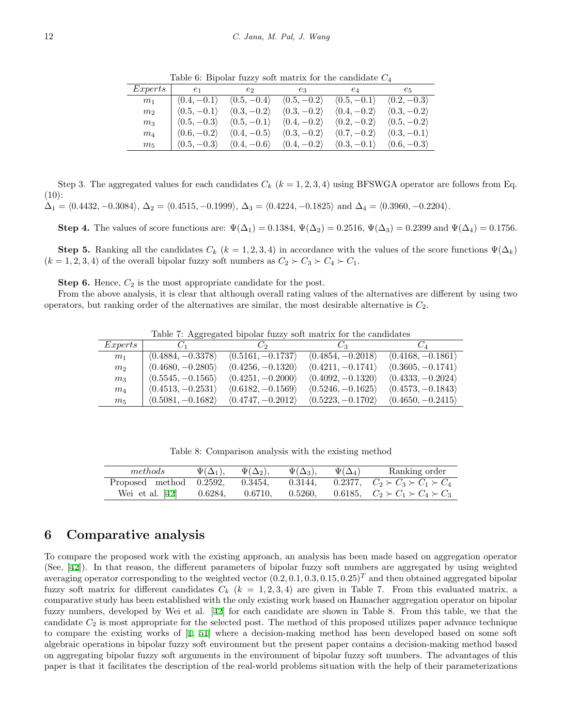| Experts        |                             | $e_1$ $e_2$                                                                                                                                 | $e_3$                                                                               | $e_4$                       | $e_5$                       |
|----------------|-----------------------------|---------------------------------------------------------------------------------------------------------------------------------------------|-------------------------------------------------------------------------------------|-----------------------------|-----------------------------|
| m <sub>1</sub> | $\langle 0.4, -0.1 \rangle$ | $\langle 0.5, -0.4 \rangle$                                                                                                                 | $\langle 0.5, -0.2 \rangle$                                                         | $\langle 0.5, -0.1 \rangle$ | $\langle 0.2, -0.3 \rangle$ |
| m <sub>2</sub> | $\langle 0.5, -0.1 \rangle$ | $\langle 0.3, -0.2 \rangle$                                                                                                                 | $\langle 0.3, -0.2 \rangle$                                                         | $\langle 0.4, -0.2 \rangle$ | $\langle 0.3, -0.2 \rangle$ |
| m <sub>3</sub> | $\langle 0.5, -0.3 \rangle$ |                                                                                                                                             | $\langle 0.5, -0.1 \rangle$ $\langle 0.4, -0.2 \rangle$ $\langle 0.2, -0.2 \rangle$ |                             | $\langle 0.5, -0.2 \rangle$ |
| $m_4$          | $\langle 0.6, -0.2 \rangle$ | $\langle 0.4, -0.5 \rangle$                                                                                                                 | $(0.3, -0.2)$ $(0.7, -0.2)$                                                         |                             | $\langle 0.3, -0.1 \rangle$ |
| $m_5$          |                             | $\langle 0.5, -0.3 \rangle$ $\langle 0.4, -0.6 \rangle$ $\langle 0.4, -0.2 \rangle$ $\langle 0.3, -0.1 \rangle$ $\langle 0.6, -0.3 \rangle$ |                                                                                     |                             |                             |

Table 6: Bipolar fuzzy soft matrix for the candidate *C*<sup>4</sup>

Step 3. The aggregated values for each candidates  $C_k$  ( $k = 1, 2, 3, 4$ ) using BFSWGA operator are follows from Eq.  $(10):$  $\Delta_1 = \langle 0.4432, -0.3084 \rangle, \ \Delta_2 = \langle 0.4515, -0.1999 \rangle, \ \Delta_3 = \langle 0.4224, -0.1825 \rangle \ \text{and} \ \Delta_4 = \langle 0.3960, -0.2204 \rangle.$ 

**Step 4.** The values of score functions are:  $\Psi(\Delta_1) = 0.1384$ ,  $\Psi(\Delta_2) = 0.2516$ ,  $\Psi(\Delta_3) = 0.2399$  and  $\Psi(\Delta_4) = 0.1756$ .

**Step 5.** Ranking all the candidates  $C_k$  ( $k = 1, 2, 3, 4$ ) in accordance with the values of the score functions  $\Psi(\Delta_k)$  $(k = 1, 2, 3, 4)$  of the overall bipolar fuzzy soft numbers as  $C_2 \succ C_3 \succ C_4 \succ C_1$ .

**Step 6.** Hence,  $C_2$  is the most appropriate candidate for the post.

From the above analysis, it is clear that although overall rating values of the alternatives are different by using two operators, but ranking order of the alternatives are similar, the most desirable alternative is *C*2.

Table 7: Aggregated bipolar fuzzy soft matrix for the candidates

| Express        |                     | ر ا                 | Ġз                  |                     |
|----------------|---------------------|---------------------|---------------------|---------------------|
| m <sub>1</sub> | $(0.4884, -0.3378)$ | $(0.5161, -0.1737)$ | $(0.4854, -0.2018)$ | $(0.4168, -0.1861)$ |
| m <sub>2</sub> | $(0.4680, -0.2805)$ | $(0.4256, -0.1320)$ | $(0.4211, -0.1741)$ | $(0.3605, -0.1741)$ |
| m <sub>3</sub> | $(0.5545, -0.1565)$ | $(0.4251, -0.2000)$ | $(0.4092, -0.1320)$ | $(0.4333, -0.2024)$ |
| $m_4$          | $(0.4513, -0.2531)$ | $(0.6182, -0.1569)$ | $(0.5246, -0.1625)$ | $(0.4573, -0.1843)$ |
| m <sub>5</sub> | $(0.5081, -0.1682)$ | $(0.4747, -0.2012)$ | $(0.5223, -0.1702)$ | $(0.4650, -0.2415)$ |

|  | Table 8: Comparison analysis with the existing method |  |  |  |  |  |
|--|-------------------------------------------------------|--|--|--|--|--|
|--|-------------------------------------------------------|--|--|--|--|--|

| methods                 | $\Psi(\Delta_1),$ | $\Psi(\Delta_2)$ , | $\Psi(\Delta_3)$ , | $\Psi(\Delta_A)$ | Ranking order                               |
|-------------------------|-------------------|--------------------|--------------------|------------------|---------------------------------------------|
| Proposed method 0.2592. |                   | 0.3454.            | 0.3144.            |                  | 0.2377, $C_2 \succ C_3 \succ C_1 \succ C_4$ |
| Wei et al. $[42]$       | 0.6284,           | 0.6710.            | 0.5260.            |                  | 0.6185, $C_2 \succ C_1 \succ C_4 \succ C_3$ |

## **6 Comparative analysis**

To compare the proposed work with the existing approach, an analysis has been made based on aggregation operator (See, [\[42](#page-14-13)]). In that reason, the different parameters of bipolar fuzzy soft numbers are aggregated by using weighted averaging operator corresponding to the weighted vector  $(0.2, 0.1, 0.3, 0.15, 0.25)^T$  and then obtained aggregated bipolar fuzzy soft matrix for different candidates  $C_k$  ( $k = 1, 2, 3, 4$ ) are given in Table 7. From this evaluated matrix, a comparative study has been established with the only existing work based on Hamacher aggregation operator on bipolar fuzzy numbers, developed by Wei et al. [[42\]](#page-14-13) for each candidate are shown in Table 8. From this table, we that the candidate *C*<sup>2</sup> is most appropriate for the selected post. The method of this proposed utilizes paper advance technique to compare the existing works of [[1,](#page-12-9) [51](#page-14-19)] where a decision-making method has been developed based on some soft algebraic operations in bipolar fuzzy soft environment but the present paper contains a decision-making method based on aggregating bipolar fuzzy soft arguments in the environment of bipolar fuzzy soft numbers. The advantages of this paper is that it facilitates the description of the real-world problems situation with the help of their parameterizations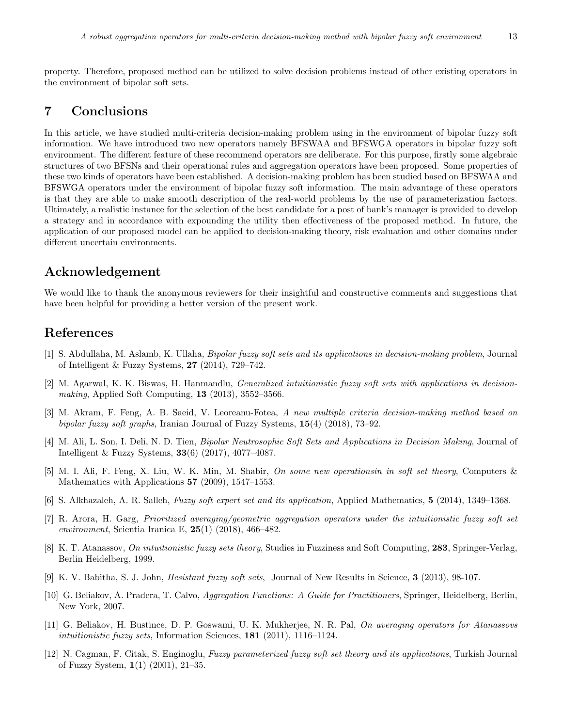property. Therefore, proposed method can be utilized to solve decision problems instead of other existing operators in the environment of bipolar soft sets.

## **7 Conclusions**

In this article, we have studied multi-criteria decision-making problem using in the environment of bipolar fuzzy soft information. We have introduced two new operators namely BFSWAA and BFSWGA operators in bipolar fuzzy soft environment. The different feature of these recommend operators are deliberate. For this purpose, firstly some algebraic structures of two BFSNs and their operational rules and aggregation operators have been proposed. Some properties of these two kinds of operators have been established. A decision-making problem has been studied based on BFSWAA and BFSWGA operators under the environment of bipolar fuzzy soft information. The main advantage of these operators is that they are able to make smooth description of the real-world problems by the use of parameterization factors. Ultimately, a realistic instance for the selection of the best candidate for a post of bank's manager is provided to develop a strategy and in accordance with expounding the utility then effectiveness of the proposed method. In future, the application of our proposed model can be applied to decision-making theory, risk evaluation and other domains under different uncertain environments.

## **Acknowledgement**

We would like to thank the anonymous reviewers for their insightful and constructive comments and suggestions that have been helpful for providing a better version of the present work.

## **References**

- <span id="page-12-9"></span>[1] S. Abdullaha, M. Aslamb, K. Ullaha, *Bipolar fuzzy soft sets and its applications in decision-making problem*, Journal of Intelligent & Fuzzy Systems, **27** (2014), 729–742.
- <span id="page-12-6"></span>[2] M. Agarwal, K. K. Biswas, H. Hanmandlu, *Generalized intuitionistic fuzzy soft sets with applications in decisionmaking*, Applied Soft Computing, **13** (2013), 3552–3566.
- <span id="page-12-11"></span>[3] M. Akram, F. Feng, A. B. Saeid, V. Leoreanu-Fotea, *A new multiple criteria decision-making method based on bipolar fuzzy soft graphs*, Iranian Journal of Fuzzy Systems, **15**(4) (2018), 73–92.
- <span id="page-12-10"></span>[4] M. Ali, L. Son, I. Deli, N. D. Tien, *Bipolar Neutrosophic Soft Sets and Applications in Decision Making*, Journal of Intelligent & Fuzzy Systems, **33**(6) (2017), 4077–4087.
- <span id="page-12-3"></span>[5] M. I. Ali, F. Feng, X. Liu, W. K. Min, M. Shabir, *On some new operationsin in soft set theory*, Computers & Mathematics with Applications **57** (2009), 1547–1553.
- <span id="page-12-5"></span>[6] S. Alkhazaleh, A. R. Salleh, *Fuzzy soft expert set and its application*, Applied Mathematics, **5** (2014), 1349–1368.
- <span id="page-12-8"></span>[7] R. Arora, H. Garg, *Prioritized averaging/geometric aggregation operators under the intuitionistic fuzzy soft set environment*, Scientia Iranica E, **25**(1) (2018), 466–482.
- <span id="page-12-0"></span>[8] K. T. Atanassov, *On intuitionistic fuzzy sets theory*, Studies in Fuzziness and Soft Computing, **283**, Springer-Verlag, Berlin Heidelberg, 1999.
- <span id="page-12-7"></span>[9] K. V. Babitha, S. J. John, *Hesistant fuzzy soft sets*, Journal of New Results in Science, **3** (2013), 98-107.
- <span id="page-12-1"></span>[10] G. Beliakov, A. Pradera, T. Calvo, *Aggregation Functions: A Guide for Practitioners*, Springer, Heidelberg, Berlin, New York, 2007.
- <span id="page-12-2"></span>[11] G. Beliakov, H. Bustince, D. P. Goswami, U. K. Mukherjee, N. R. Pal, *On averaging operators for Atanassovs intuitionistic fuzzy sets*, Information Sciences, **181** (2011), 1116–1124.
- <span id="page-12-4"></span>[12] N. Cagman, F. Citak, S. Enginoglu, *Fuzzy parameterized fuzzy soft set theory and its applications*, Turkish Journal of Fuzzy System, **1**(1) (2001), 21–35.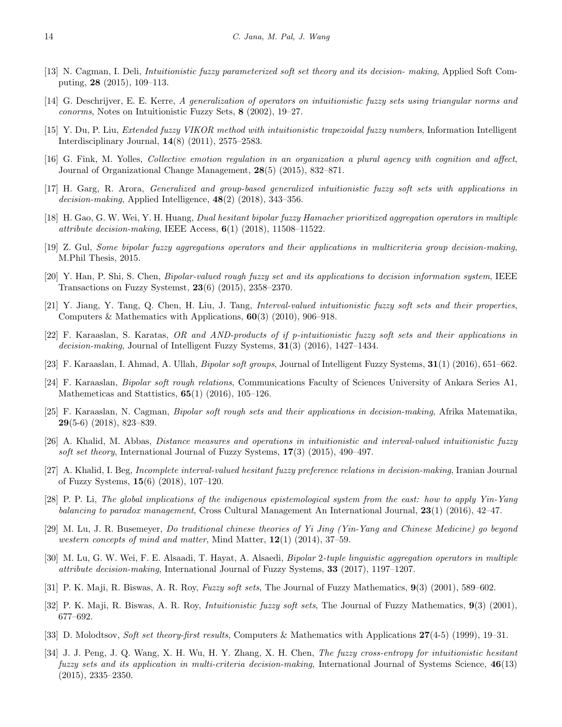- <span id="page-13-14"></span>[13] N. Cagman, I. Deli, *Intuitionistic fuzzy parameterized soft set theory and its decision- making*, Applied Soft Computing, **28** (2015), 109–113.
- <span id="page-13-1"></span>[14] G. Deschrijver, E. E. Kerre, *A generalization of operators on intuitionistic fuzzy sets using triangular norms and conorms*, Notes on Intuitionistic Fuzzy Sets, **8** (2002), 19–27.
- <span id="page-13-2"></span>[15] Y. Du, P. Liu, *Extended fuzzy VIKOR method with intuitionistic trapezoidal fuzzy numbers*, Information Intelligent Interdisciplinary Journal, **14**(8) (2011), 2575–2583.
- <span id="page-13-6"></span>[16] G. Fink, M. Yolles, *Collective emotion regulation in an organization a plural agency with cognition and affect*, Journal of Organizational Change Management, **28**(5) (2015), 832–871.
- <span id="page-13-15"></span>[17] H. Garg, R. Arora, *Generalized and group-based generalized intuitionistic fuzzy soft sets with applications in decision-making*, Applied Intelligence, **48**(2) (2018), 343–356.
- <span id="page-13-11"></span>[18] H. Gao, G. W. Wei, Y. H. Huang, *Dual hesitant bipolar fuzzy Hamacher prioritized aggregation operators in multiple attribute decision-making*, IEEE Access, **6**(1) (2018), 11508–11522.
- <span id="page-13-8"></span>[19] Z. Gul, *Some bipolar fuzzy aggregations operators and their applications in multicriteria group decision-making*, M.Phil Thesis, 2015.
- <span id="page-13-4"></span>[20] Y. Han, P. Shi, S. Chen, *Bipolar-valued rough fuzzy set and its applications to decision information system*, IEEE Transactions on Fuzzy Systemst, **23**(6) (2015), 2358–2370.
- <span id="page-13-17"></span>[21] Y. Jiang, Y. Tang, Q. Chen, H. Liu, J. Tang, *Interval-valued intuitionistic fuzzy soft sets and their properties*, Computers & Mathematics with Applications, **60**(3) (2010), 906–918.
- <span id="page-13-16"></span>[22] F. Karaaslan, S. Karatas, *OR and AND-products of if p-intuitionistic fuzzy soft sets and their applications in decision-making*, Journal of Intelligent Fuzzy Systems, **31**(3) (2016), 1427–1434.
- <span id="page-13-19"></span>[23] F. Karaaslan, I. Ahmad, A. Ullah, *Bipolar soft groups*, Journal of Intelligent Fuzzy Systems, **31**(1) (2016), 651–662.
- <span id="page-13-20"></span>[24] F. Karaaslan, *Bipolar soft rough relations*, Communications Faculty of Sciences University of Ankara Series A1, Mathemeticas and Stattistics, **65**(1) (2016), 105–126.
- <span id="page-13-21"></span>[25] F. Karaaslan, N. Cagman, *Bipolar soft rough sets and their applications in decision-making*, Afrika Matematika, **29**(5-6) (2018), 823–839.
- <span id="page-13-18"></span>[26] A. Khalid, M. Abbas, *Distance measures and operations in intuitionistic and interval-valued intuitionistic fuzzy soft set theory*, International Journal of Fuzzy Systems, **17**(3) (2015), 490–497.
- <span id="page-13-10"></span>[27] A. Khalid, I. Beg, *Incomplete interval-valued hesitant fuzzy preference relations in decision-making*, Iranian Journal of Fuzzy Systems, **15**(6) (2018), 107–120.
- <span id="page-13-7"></span>[28] P. P. Li, *The global implications of the indigenous epistemological system from the east: how to apply Yin-Yang balancing to paradox management*, Cross Cultural Management An International Journal, **23**(1) (2016), 42–47.
- <span id="page-13-5"></span>[29] M. Lu, J. R. Busemeyer, *Do traditional chinese theories of Yi Jing (Yin-Yang and Chinese Medicine) go beyond western concepts of mind and matter*, Mind Matter, **12**(1) (2014), 37–59.
- <span id="page-13-9"></span>[30] M. Lu, G. W. Wei, F. E. Alsaadi, T. Hayat, A. Alsaedi, *Bipolar* 2*-tuple linguistic aggregation operators in multiple attribute decision-making*, International Journal of Fuzzy Systems, **33** (2017), 1197–1207.
- <span id="page-13-12"></span>[31] P. K. Maji, R. Biswas, A. R. Roy, *Fuzzy soft sets*, The Journal of Fuzzy Mathematics, **9**(3) (2001), 589–602.
- <span id="page-13-13"></span>[32] P. K. Maji, R. Biswas, A. R. Roy, *Intuitionistic fuzzy soft sets*, The Journal of Fuzzy Mathematics, **9**(3) (2001), 677–692.
- <span id="page-13-0"></span>[33] D. Molodtsov, *Soft set theory-first results*, Computers & Mathematics with Applications **27**(4-5) (1999), 19–31.
- <span id="page-13-3"></span>[34] J. J. Peng, J. Q. Wang, X. H. Wu, H. Y. Zhang, X. H. Chen, *The fuzzy cross-entropy for intuitionistic hesitant fuzzy sets and its application in multi-criteria decision-making*, International Journal of Systems Science, **46**(13) (2015), 2335–2350.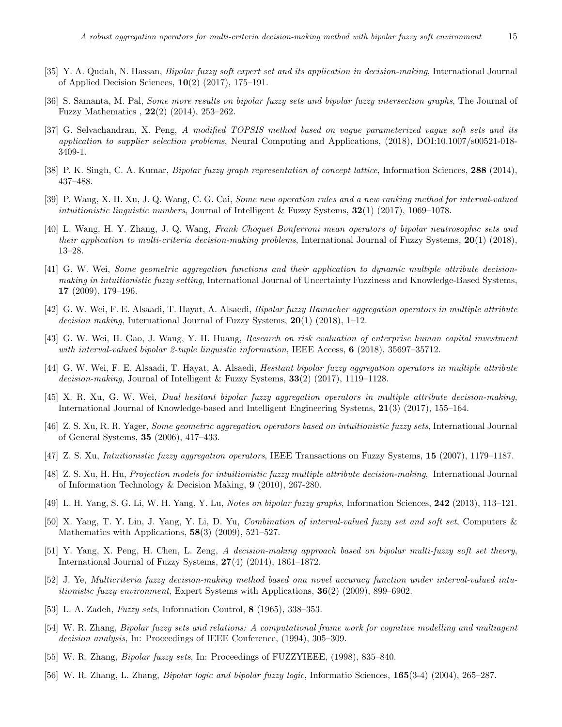- <span id="page-14-20"></span>[35] Y. A. Qudah, N. Hassan, *Bipolar fuzzy soft expert set and its application in decision-making*, International Journal of Applied Decision Sciences, **10**(2) (2017), 175–191.
- <span id="page-14-9"></span>[36] S. Samanta, M. Pal, *Some more results on bipolar fuzzy sets and bipolar fuzzy intersection graphs*, The Journal of Fuzzy Mathematics , **22**(2) (2014), 253–262.
- <span id="page-14-18"></span>[37] G. Selvachandran, X. Peng, *A modified TOPSIS method based on vague parameterized vague soft sets and its application to supplier selection problems*, Neural Computing and Applications, (2018), DOI:10.1007/s00521-018- 3409-1.
- <span id="page-14-11"></span>[38] P. K. Singh, C. A. Kumar, *Bipolar fuzzy graph representation of concept lattice*, Information Sciences, **288** (2014), 437–488.
- <span id="page-14-5"></span>[39] P. Wang, X. H. Xu, J. Q. Wang, C. G. Cai, *Some new operation rules and a new ranking method for interval-valued intuitionistic linguistic numbers*, Journal of Intelligent & Fuzzy Systems, **32**(1) (2017), 1069–1078.
- <span id="page-14-16"></span>[40] L. Wang, H. Y. Zhang, J. Q. Wang, *Frank Choquet Bonferroni mean operators of bipolar neutrosophic sets and their application to multi-criteria decision-making problems*, International Journal of Fuzzy Systems, **20**(1) (2018), 13–28.
- <span id="page-14-1"></span>[41] G. W. Wei, *Some geometric aggregation functions and their application to dynamic multiple attribute decisionmaking in intuitionistic fuzzy setting*, International Journal of Uncertainty Fuzziness and Knowledge-Based Systems, **17** (2009), 179–196.
- <span id="page-14-13"></span>[42] G. W. Wei, F. E. Alsaadi, T. Hayat, A. Alsaedi, *Bipolar fuzzy Hamacher aggregation operators in multiple attribute decision making*, International Journal of Fuzzy Systems, **20**(1) (2018), 1–12.
- <span id="page-14-12"></span>[43] G. W. Wei, H. Gao, J. Wang, Y. H. Huang, *Research on risk evaluation of enterprise human capital investment with interval-valued bipolar 2-tuple linguistic information*, IEEE Access, **6** (2018), 35697–35712.
- <span id="page-14-14"></span>[44] G. W. Wei, F. E. Alsaadi, T. Hayat, A. Alsaedi, *Hesitant bipolar fuzzy aggregation operators in multiple attribute decision-making*, Journal of Intelligent & Fuzzy Systems, **33**(2) (2017), 1119–1128.
- <span id="page-14-15"></span>[45] X. R. Xu, G. W. Wei, *Dual hesitant bipolar fuzzy aggregation operators in multiple attribute decision-making*, International Journal of Knowledge-based and Intelligent Engineering Systems, **21**(3) (2017), 155–164.
- <span id="page-14-2"></span>[46] Z. S. Xu, R. R. Yager, *Some geometric aggregation operators based on intuitionistic fuzzy sets*, International Journal of General Systems, **35** (2006), 417–433.
- <span id="page-14-3"></span>[47] Z. S. Xu, *Intuitionistic fuzzy aggregation operators*, IEEE Transactions on Fuzzy Systems, **15** (2007), 1179–1187.
- <span id="page-14-21"></span>[48] Z. S. Xu, H. Hu, *Projection models for intuitionistic fuzzy multiple attribute decision-making*, International Journal of Information Technology & Decision Making, **9** (2010), 267-280.
- <span id="page-14-10"></span>[49] L. H. Yang, S. G. Li, W. H. Yang, Y. Lu, *Notes on bipolar fuzzy graphs*, Information Sciences, **242** (2013), 113–121.
- <span id="page-14-17"></span>[50] X. Yang, T. Y. Lin, J. Yang, Y. Li, D. Yu, *Combination of interval-valued fuzzy set and soft set*, Computers & Mathematics with Applications, **58**(3) (2009), 521–527.
- <span id="page-14-19"></span>[51] Y. Yang, X. Peng, H. Chen, L. Zeng, *A decision-making approach based on bipolar multi-fuzzy soft set theory*, International Journal of Fuzzy Systems, **27**(4) (2014), 1861–1872.
- <span id="page-14-4"></span>[52] J. Ye, *Multicriteria fuzzy decision-making method based ona novel accuracy function under interval-valued intuitionistic fuzzy environment*, Expert Systems with Applications, **36**(2) (2009), 899–6902.
- <span id="page-14-0"></span>[53] L. A. Zadeh, *Fuzzy sets*, Information Control, **8** (1965), 338–353.
- <span id="page-14-6"></span>[54] W. R. Zhang, *Bipolar fuzzy sets and relations: A computational frame work for cognitive modelling and multiagent decision analysis*, In: Proceedings of IEEE Conference, (1994), 305–309.
- <span id="page-14-7"></span>[55] W. R. Zhang, *Bipolar fuzzy sets*, In: Proceedings of FUZZYIEEE, (1998), 835–840.
- <span id="page-14-8"></span>[56] W. R. Zhang, L. Zhang, *Bipolar logic and bipolar fuzzy logic*, Informatio Sciences, **165**(3-4) (2004), 265–287.